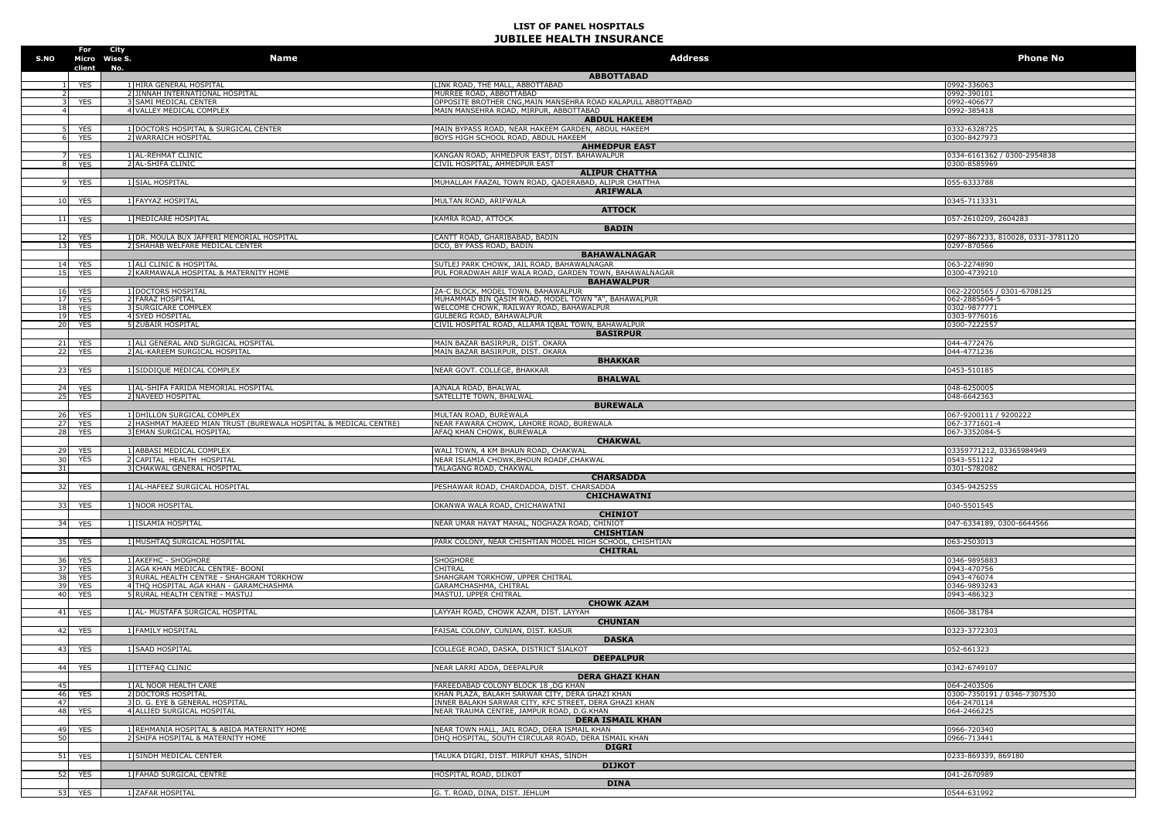| S.NO            |                      | For City<br>Micro Wise S.<br>No. | <b>Name</b>                                                                                       | <b>Address</b>                                                                                           | <b>Phone No</b>                            |
|-----------------|----------------------|----------------------------------|---------------------------------------------------------------------------------------------------|----------------------------------------------------------------------------------------------------------|--------------------------------------------|
|                 | client               |                                  |                                                                                                   | <b>ABBOTTABAD</b>                                                                                        |                                            |
|                 | <b>YES</b>           |                                  | 1 HIRA GENERAL HOSPITAL                                                                           | LINK ROAD, THE MALL, ABBOTTABAD                                                                          | 0992-336063                                |
|                 | <b>YES</b>           |                                  | 2 JINNAH INTERNATIONAL HOSPITAL<br>SAMI MEDICAL CENTER                                            | MURREE ROAD, ABBOTTABAD<br>OPPOSITE BROTHER CNG, MAIN MANSEHRA ROAD KALAPULL ABBOTTABAD                  | 0992-390101<br>0992-406677                 |
|                 |                      |                                  | 4 VALLEY MEDICAL COMPLEX                                                                          | MAIN MANSEHRA ROAD, MIRPUR, ABBOTTABAD                                                                   | 0992-385418                                |
|                 |                      |                                  |                                                                                                   | <b>ABDUL HAKEEM</b>                                                                                      |                                            |
|                 | YES<br><b>YES</b>    |                                  | 1 DOCTORS HOSPITAL & SURGICAL CENTER<br>2 WARRAICH HOSPITAL                                       | MAIN BYPASS ROAD, NEAR HAKEEM GARDEN, ABDUL HAKEEM<br>BOYS HIGH SCHOOL ROAD, ABDUL HAKEEM                | 0332-6328725<br>0300-8427973               |
|                 |                      |                                  |                                                                                                   | <b>AHMEDPUR EAST</b>                                                                                     |                                            |
|                 | YES                  |                                  | 1 AL-REHMAT CLINIC                                                                                | KANGAN ROAD, AHMEDPUR EAST, DIST. BAHAWALPUR                                                             | 0334-6161362 / 0300-2954838                |
|                 | <b>YES</b>           |                                  | 2 AL-SHIFA CLINIC                                                                                 | CIVIL HOSPITAL, AHMEDPUR EAST<br><b>ALIPUR CHATTHA</b>                                                   | 0300-8585969                               |
|                 | <b>YES</b>           |                                  | 1 SIAL HOSPITAL                                                                                   | MUHALLAH FAAZAL TOWN ROAD, QADERABAD, ALIPUR CHATTHA                                                     | 055-6333788                                |
|                 |                      |                                  |                                                                                                   | <b>ARIFWALA</b>                                                                                          |                                            |
| 10 <sup>1</sup> | <b>YES</b>           |                                  | 1 FAYYAZ HOSPITAL                                                                                 | MULTAN ROAD, ARIFWALA                                                                                    | 0345-7113331                               |
|                 | 11 YES               |                                  | 1 MEDICARE HOSPITAL                                                                               | <b>ATTOCK</b><br>KAMRA ROAD, ATTOCK                                                                      | 057-2610209, 2604283                       |
|                 |                      |                                  |                                                                                                   | <b>BADIN</b>                                                                                             |                                            |
|                 | 12 YES               |                                  | 1 DR. MOULA BUX JAFFERI MEMORIAL HOSPITAL<br>2 SHAHAB WELFARE MEDICAL CENTER                      | CANTT ROAD, GHARIBABAD, BADIN                                                                            | 0297-867233, 810028, 0331-3781120          |
|                 | 13 YES               |                                  |                                                                                                   | DCO, BY PASS ROAD, BADIN<br><b>BAHAWALNAGAR</b>                                                          | 0297-870566                                |
|                 | 14 YES               |                                  | 1 ALI CLINIC & HOSPITAL                                                                           | SUTLEJ PARK CHOWK, JAIL ROAD, BAHAWALNAGAR                                                               | 063-2274890                                |
| 15              | <b>YES</b>           |                                  | 2 KARMAWALA HOSPITAL & MATERNITY HOME                                                             | PUL FORADWAH ARIF WALA ROAD, GARDEN TOWN, BAHAWALNAGAR                                                   | 0300-4739210                               |
|                 | 16 YES               |                                  | 1 DOCTORS HOSPITAL                                                                                | <b>BAHAWALPUR</b><br>2A-C BLOCK, MODEL TOWN, BAHAWALPUR                                                  | 062-2200565 / 0301-6708125                 |
|                 | 17 YES               |                                  | 2 FARAZ HOSPITAL                                                                                  | MUHAMMAD BIN QASIM ROAD, MODEL TOWN "A", BAHAWALPUR                                                      | 062-2885604-5                              |
| 18              | <b>YES</b>           |                                  | <b>SURGICARE COMPLEX</b>                                                                          | WELCOME CHOWK, RAILWAY ROAD, BAHAWALPUR                                                                  | 0302-9877771                               |
| 20              | 19 YES<br>YES        |                                  | <b>4 SYED HOSPITAL</b><br>5 ZUBAIR HOSPITAL                                                       | GULBERG ROAD, BAHAWALPUR<br>CIVIL HOSPITAL ROAD, ALLAMA IQBAL TOWN, BAHAWALPUR                           | 0303-9776016<br>0300-7222557               |
|                 |                      |                                  |                                                                                                   | <b>BASIRPUR</b>                                                                                          |                                            |
| 21              | <b>YES</b>           |                                  | 1 ALI GENERAL AND SURGICAL HOSPITAL                                                               | MAIN BAZAR BASIRPUR, DIST. OKARA                                                                         | 044-4772476                                |
| 22              | <b>YES</b>           |                                  | 2 AL-KAREEM SURGICAL HOSPITAL                                                                     | MAIN BAZAR BASIRPUR, DIST. OKARA<br><b>BHAKKAR</b>                                                       | 044-4771236                                |
| 23 <sup>1</sup> | YES                  |                                  | 1 SIDDIQUE MEDICAL COMPLEX                                                                        | NEAR GOVT. COLLEGE, BHAKKAR                                                                              | 0453-510185                                |
|                 |                      |                                  |                                                                                                   | <b>BHALWAL</b>                                                                                           |                                            |
| 25              | 24 YES<br><b>YES</b> |                                  | 1 AL-SHIFA FARIDA MEMORIAL HOSPITAL<br>2 NAVEED HOSPITAL                                          | AJNALA ROAD, BHALWAL<br>SATELLITE TOWN, BHALWAL                                                          | 048-6250005<br>048-6642363                 |
|                 |                      |                                  |                                                                                                   | <b>BUREWALA</b>                                                                                          |                                            |
|                 | 26 YES               |                                  | 1 DHILLON SURGICAL COMPLEX                                                                        | MULTAN ROAD, BUREWALA                                                                                    | 067-9200111 / 9200222                      |
|                 | 27 YES<br>28 YES     |                                  | 2 HASHMAT MAJEED MIAN TRUST (BUREWALA HOSPITAL & MEDICAL CENTRE)<br><b>EMAN SURGICAL HOSPITAL</b> | NEAR FAWARA CHOWK, LAHORE ROAD, BUREWALA<br>AFAQ KHAN CHOWK, BUREWALA                                    | 067-3771601-4<br>067-3352084-5             |
|                 |                      |                                  |                                                                                                   | <b>CHAKWAL</b>                                                                                           |                                            |
| 29              | <b>YES</b>           |                                  | 1 ABBASI MEDICAL COMPLEX                                                                          | WALI TOWN, 4 KM BHAUN ROAD, CHAKWAL                                                                      | 03359771212, 03365984949                   |
| 30<br>31        | YES                  |                                  | 2 CAPITAL HEALTH HOSPITAL<br>3 CHAKWAL GENERAL HOSPITAL                                           | NEAR ISLAMIA CHOWK, BHOUN ROADF, CHAKWAL<br>TALAGANG ROAD, CHAKWAL                                       | 0543-551122<br>0301-5782082                |
|                 |                      |                                  |                                                                                                   | <b>CHARSADDA</b>                                                                                         |                                            |
|                 | 32 YES               |                                  | 1 AL-HAFEEZ SURGICAL HOSPITAL                                                                     | PESHAWAR ROAD, CHARDADDA, DIST. CHARSADDA                                                                | 0345-9425255                               |
|                 |                      |                                  |                                                                                                   | CHICHAWATNI                                                                                              |                                            |
| 33              | <b>YES</b>           |                                  | 1 NOOR HOSPITAL                                                                                   | OKANWA WALA ROAD, CHICHAWATNI<br><b>CHINIOT</b>                                                          | 040-5501545                                |
|                 | 34 YES               |                                  | 1 ISLAMIA HOSPITAL                                                                                | NEAR UMAR HAYAT MAHAL, NOGHAZA ROAD, CHINIOT                                                             | 047-6334189, 0300-6644566                  |
|                 |                      |                                  |                                                                                                   | <b>CHISHTIAN</b>                                                                                         |                                            |
| 35              | YES                  |                                  | 1 MUSHTAQ SURGICAL HOSPITAL                                                                       | PARK COLONY, NEAR CHISHTIAN MODEL HIGH SCHOOL, CHISHTIAN<br><b>CHITRAL</b>                               | 063-2503013                                |
| 36              | <b>YES</b>           |                                  | <b>LAKEFHC - SHOGHORE</b>                                                                         | <b>SHOGHORE</b>                                                                                          | 0346-9895883                               |
| 37              | <b>YES</b>           |                                  | <b>AGA KHAN MEDICAL CENTRE- BOONI</b>                                                             | CHITRAL                                                                                                  | 0943-470756                                |
| 38<br>39        | YES<br><b>YES</b>    |                                  | 3 RURAL HEALTH CENTRE - SHAHGRAM TORKHOW<br>4 THQ HOSPITAL AGA KHAN - GARAMCHASHMA                | SHAHGRAM TORKHOW, UPPER CHITRAL<br>GARAMCHASHMA, CHITRAL                                                 | 0943-476074<br>0346-9893243                |
| 40              | <b>YES</b>           |                                  | 5 RURAL HEALTH CENTRE - MASTUJ                                                                    | MASTUJ, UPPER CHITRAL                                                                                    | 0943-486323                                |
|                 |                      |                                  |                                                                                                   | <b>CHOWK AZAM</b>                                                                                        |                                            |
|                 | 41 YES               |                                  | 1 AL- MUSTAFA SURGICAL HOSPITAL                                                                   | LAYYAH ROAD, CHOWK AZAM, DIST. LAYYAH<br><b>CHUNIAN</b>                                                  | 0606-381784                                |
| 42 <sub>1</sub> | YES                  |                                  | 1 FAMILY HOSPITAL                                                                                 | FAISAL COLONY, CUNIAN, DIST. KASUR                                                                       | 0323-3772303                               |
|                 |                      |                                  |                                                                                                   | <b>DASKA</b>                                                                                             |                                            |
| 43              | <b>YES</b>           |                                  | 1 SAAD HOSPITAL                                                                                   | COLLEGE ROAD, DASKA, DISTRICT SIALKOT                                                                    | 052-661323                                 |
|                 | 44 YES               |                                  | 1 ITTEFAQ CLINIC                                                                                  | <b>DEEPALPUR</b><br>NEAR LARRI ADDA, DEEPALPUR                                                           | 0342-6749107                               |
|                 |                      |                                  |                                                                                                   | <b>DERA GHAZI KHAN</b>                                                                                   |                                            |
| 45              |                      |                                  | 1 AL NOOR HEALTH CARE                                                                             | FAREEDABAD COLONY BLOCK 18, DG KHAN                                                                      | 064-2403506                                |
| 46<br>47        | <b>YES</b>           |                                  | 2 DOCTORS HOSPITAL<br>3 D. G. EYE & GENERAL HOSPITAL                                              | KHAN PLAZA, BALAKH SARWAR CITY, DERA GHAZI KHAN<br>INNER BALAKH SARWAR CITY, KFC STREET, DERA GHAZI KHAN | 0300-7350191 / 0346-7307530<br>064-2470114 |
| 48              | <b>YES</b>           |                                  | 4 ALLIED SURGICAL HOSPITAL                                                                        | NEAR TRAUMA CENTRE, JAMPUR ROAD, D.G.KHAN                                                                | 064-2466225                                |
|                 |                      |                                  |                                                                                                   | <b>DERA ISMAIL KHAN</b>                                                                                  |                                            |
| 49<br>50        | <b>YES</b>           |                                  | 1 REHMANIA HOSPITAL & ABIDA MATERNITY HOME<br><b>SHIFA HOSPITAL &amp; MATERNITY HOME</b>          | NEAR TOWN HALL, JAIL ROAD, DERA ISMAIL KHAN<br>DHO HOSPITAL, SOUTH CIRCULAR ROAD, DERA ISMAIL KHAN       | 0966-720340<br>0966-713441                 |
|                 |                      |                                  |                                                                                                   | <b>DIGRI</b>                                                                                             |                                            |
| 51              | <b>YES</b>           |                                  | 1 SINDH MEDICAL CENTER                                                                            | TALUKA DIGRI, DIST, MIRPUT KHAS, SINDH                                                                   | 0233-869339, 869180                        |
|                 |                      |                                  |                                                                                                   | <b>DIJKOT</b>                                                                                            |                                            |
|                 | 52 YES               |                                  | 1 FAHAD SURGICAL CENTRE                                                                           | HOSPITAL ROAD, DIJKOT<br><b>DINA</b>                                                                     | 041-2670989                                |
|                 | 53 YES               |                                  | 1 ZAFAR HOSPITAL                                                                                  | G. T. ROAD, DINA, DIST. JEHLUM                                                                           | 0544-631992                                |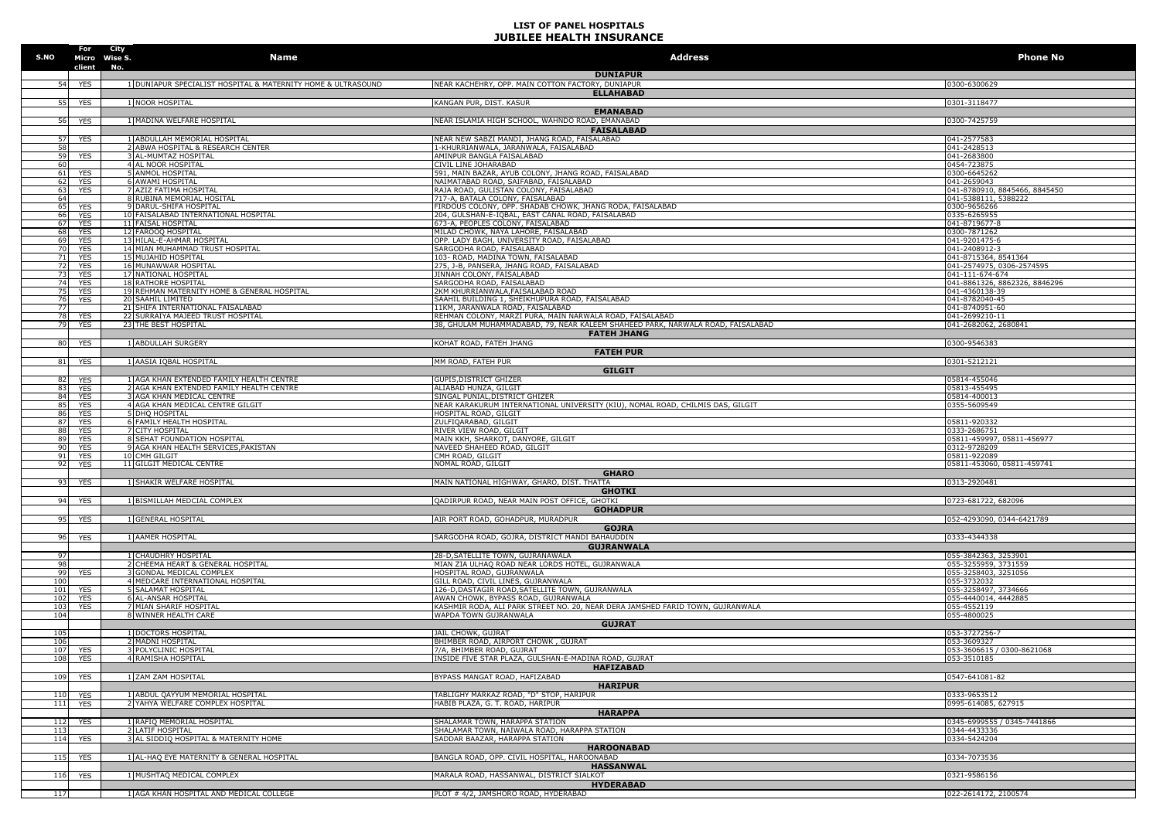| S.NO                   | For<br>client                        | City<br>Micro Wise S.<br>No. | Name                                                                   | <b>Address</b>                                                                                                        | <b>Phone No</b>                                  |
|------------------------|--------------------------------------|------------------------------|------------------------------------------------------------------------|-----------------------------------------------------------------------------------------------------------------------|--------------------------------------------------|
| 54                     | <b>YES</b>                           |                              | 1 DUNIAPUR SPECIALIST HOSPITAL & MATERNITY HOME & ULTRASOUND           | <b>DUNIAPUR</b><br>NEAR KACHEHRY, OPP. MAIN COTTON FACTORY, DUNIAPUR                                                  | 0300-6300629                                     |
|                        |                                      |                              |                                                                        | <b>ELLAHABAD</b>                                                                                                      |                                                  |
| 551                    | <b>YES</b>                           |                              | 1 NOOR HOSPITAL                                                        | KANGAN PUR, DIST. KASUR<br><b>EMANABAD</b>                                                                            | 0301-3118477                                     |
| 56                     | <b>YES</b>                           |                              | 1 MADINA WELFARE HOSPITAL                                              | NEAR ISLAMIA HIGH SCHOOL, WAHNDO ROAD, EMANABAD                                                                       | 0300-7425759                                     |
|                        |                                      |                              |                                                                        | <b>FAISALABAD</b>                                                                                                     |                                                  |
| 57<br>58               | <b>YES</b>                           |                              | 1 ABDULLAH MEMORIAL HOSPITAL<br>2 ABWA HOSPITAL & RESEARCH CENTER      | NEAR NEW SABZI MANDI, JHANG ROAD, FAISALABAD<br>1-KHURRIANWALA, JARANWALA, FAISALABAD                                 | 041-2577583<br>041-2428513                       |
| 59                     | <b>YES</b>                           |                              | 3 AL-MUMTAZ HOSPITAL                                                   | AMINPUR BANGLA FAISALABAD                                                                                             | 041-2683800                                      |
| 60                     |                                      |                              | 4 AL NOOR HOSPITAL                                                     | CIVIL LINE JOHARABAD                                                                                                  | 0454-723875                                      |
|                        | 61<br><b>YES</b><br><b>YES</b><br>62 |                              | 5 ANMOL HOSPITAL<br><b>6 AWAMI HOSPITAL</b>                            | 591, MAIN BAZAR, AYUB COLONY, JHANG ROAD, FAISALABAD<br>NAIMATABAD ROAD, SAIFABAD, FAISALABAD                         | 0300-6645262<br>041-2659043                      |
|                        | 63<br><b>YES</b>                     |                              | 7 AZIZ FATIMA HOSPITAL                                                 | RAJA ROAD, GULISTAN COLONY, FAISALABAD                                                                                | 041-8780910, 8845466, 8845450                    |
| 64                     |                                      |                              | 8 RUBINA MEMORIAL HOSITAL                                              | 717-A, BATALA COLONY, FAISALABAD                                                                                      | 041-5388111, 5388222                             |
| 66                     | 65 YES<br><b>YES</b>                 |                              | 9 DARUL-SHIFA HOSPITAL<br>10 FAISALABAD INTERNATIONAL HOSPITAL         | FIRDOUS COLONY, OPP. SHADAB CHOWK, JHANG RODA, FAISALABAD<br>204, GULSHAN-E-IQBAL, EAST CANAL ROAD, FAISALABAD        | 0300-9656266<br>0335-6265955                     |
| 67                     | <b>YES</b>                           |                              | <b>11 FAISAL HOSPITAL</b>                                              | 673-A, PEOPLES COLONY, FAISALABAD                                                                                     | 041-8719677-8                                    |
| 68                     | YES                                  |                              | 12 FAROOQ HOSPITAL                                                     | MILAD CHOWK, NAYA LAHORE, FAISALABAD                                                                                  | 0300-7871262                                     |
| 69<br>70               | YES<br>YES                           |                              | 13 HILAL-E-AHMAR HOSPITAL<br>14 MIAN MUHAMMAD TRUST HOSPITAL           | OPP. LADY BAGH, UNIVERSITY ROAD, FAISALABAD<br>SARGODHA ROAD, FAISALABAD                                              | 041-9201475-6<br>041-2408912-3                   |
| 71                     | YES                                  |                              | 15 MUJAHID HOSPITAL                                                    | 103- ROAD, MADINA TOWN, FAISALABAD                                                                                    | 041-8715364, 8541364                             |
| 72                     | YES                                  |                              | 16 MUNAWWAR HOSPITAL                                                   | 275, J-B, PANSERA, JHANG ROAD, FAISALABAD                                                                             | 041-2574975, 0306-2574595                        |
| 73                     | <b>YES</b><br>74<br><b>YES</b>       |                              | 17 NATIONAL HOSPITAL<br>18 RATHORE HOSPITAL                            | JINNAH COLONY, FAISALABAD<br>SARGODHA ROAD, FAISALABAD                                                                | 041-111-674-674<br>041-8861326, 8862326, 8846296 |
| 75                     | <b>YES</b>                           |                              | 19 REHMAN MATERNITY HOME & GENERAL HOSPITAL                            | 2KM KHURRIANWALA, FAISALABAD ROAD                                                                                     | 041-4360138-39                                   |
|                        | 76<br><b>YES</b>                     |                              | 20 SAAHIL LIMITED                                                      | SAAHIL BUILDING 1, SHEIKHUPURA ROAD, FAISALABAD                                                                       | 041-8782040-45                                   |
| 77                     | 78<br><b>YES</b>                     |                              | 21 SHIFA INTERNATIONAL FAISALABAD<br>22 SURRAIYA MAJEED TRUST HOSPITAL | 11KM, JARANWALA ROAD, FAISALABAD<br>REHMAN COLONY, MARZI PURA, MAIN NARWALA ROAD, FAISALABAD                          | 041-8740951-60<br>041-2699210-11                 |
| 79                     | <b>YES</b>                           |                              | 23 THE BEST HOSPITAL                                                   | 38, GHULAM MUHAMMADABAD, 79, NEAR KALEEM SHAHEED PARK, NARWALA ROAD, FAISALABAD                                       | 041-2682062, 2680841                             |
|                        |                                      |                              |                                                                        | <b>FATEH JHANG</b>                                                                                                    |                                                  |
| 80                     | <b>YES</b>                           |                              | 1 ABDULLAH SURGERY                                                     | KOHAT ROAD, FATEH JHANG<br><b>FATEH PUR</b>                                                                           | 0300-9546383                                     |
| 81                     | <b>YES</b>                           |                              | 1 AASIA IQBAL HOSPITAL                                                 | MM ROAD, FATEH PUR                                                                                                    | 0301-5212121                                     |
|                        |                                      |                              |                                                                        | <b>GILGIT</b>                                                                                                         |                                                  |
|                        | 82 YES                               |                              | 1 AGA KHAN EXTENDED FAMILY HEALTH CENTRE                               | GUPIS, DISTRICT GHIZER<br>ALIABAD HUNZA, GILGIT                                                                       | 05814-455046                                     |
| 83<br>84               | <b>YES</b><br><b>YES</b>             |                              | 2 AGA KHAN EXTENDED FAMILY HEALTH CENTRE<br>3 AGA KHAN MEDICAL CENTRE  | SINGAL PUNIAL, DISTRICT GHIZER                                                                                        | 05813-455495<br>05814-400013                     |
| 85                     | YES                                  |                              | 4 AGA KHAN MEDICAL CENTRE GILGIT                                       | NEAR KARAKURUM INTERNATIONAL UNIVERSITY (KIU), NOMAL ROAD, CHILMIS DAS, GILGIT                                        | 0355-5609549                                     |
| 86<br>87               | YES                                  |                              | 5 DHQ HOSPITAL<br>6 FAMILY HEALTH HOSPITAL                             | HOSPITAL ROAD, GILGIT<br>ZULFIQARABAD, GILGIT                                                                         | 05811-920332                                     |
| 88                     | <b>YES</b><br>YES                    |                              | 7 CITY HOSPITAL                                                        | RIVER VIEW ROAD, GILGIT                                                                                               | 0333-2686751                                     |
| 89                     | <b>YES</b>                           |                              | 8 SEHAT FOUNDATION HOSPITAL                                            | MAIN KKH, SHARKOT, DANYORE, GILGIT                                                                                    | 05811-459997, 05811-456977                       |
| 90<br>91               | YES<br>YES                           |                              | 9 AGA KHAN HEALTH SERVICES, PAKISTAN<br>10 CMH GILGIT                  | NAVEED SHAHEED ROAD, GILGIT<br>CMH ROAD, GILGIT                                                                       | 0312-9728209<br>05811-922089                     |
| 92                     | YES                                  |                              | 11 GILGIT MEDICAL CENTRE                                               | NOMAL ROAD, GILGIT                                                                                                    | 05811-453060, 05811-459741                       |
|                        |                                      |                              |                                                                        | <b>GHARO</b>                                                                                                          |                                                  |
| 93                     | <b>YES</b>                           |                              | 1 SHAKIR WELFARE HOSPITAL                                              | MAIN NATIONAL HIGHWAY, GHARO, DIST. THATTA                                                                            | 0313-2920481                                     |
| 94                     | YES                                  |                              | 1 BISMILLAH MEDCIAL COMPLEX                                            | <b>GHOTKI</b><br>QADIRPUR ROAD, NEAR MAIN POST OFFICE, GHOTKI                                                         | 0723-681722, 682096                              |
|                        |                                      |                              |                                                                        | <b>GOHADPUR</b>                                                                                                       |                                                  |
|                        | 95<br><b>YES</b>                     |                              | 1 GENERAL HOSPITAL                                                     | AIR PORT ROAD, GOHADPUR, MURADPUR                                                                                     | 052-4293090, 0344-6421789                        |
|                        | 96<br><b>YES</b>                     |                              | 1 AAMER HOSPITAL                                                       | <b>GOJRA</b><br>SARGODHA ROAD, GOJRA, DISTRICT MANDI BAHAUDDIN                                                        | 0333-4344338                                     |
|                        |                                      |                              |                                                                        | <b>GUJRANWALA</b>                                                                                                     |                                                  |
| 97                     |                                      |                              | 1 CHAUDHRY HOSPITAL                                                    | 28-D, SATELLITE TOWN, GUJRANAWALA                                                                                     | 055-3842363, 3253901                             |
| 98                     |                                      |                              | 2 CHEEMA HEART & GENERAL HOSPITAL                                      | MIAN ZIA ULHAQ ROAD NEAR LORDS HOTEL, GUJRANWALA                                                                      | 055-3255959, 3731559                             |
| 99<br>100              | <b>YES</b>                           |                              | 3 GONDAL MEDICAL COMPLEX<br>4 MEDCARE INTERNATIONAL HOSPITAL           | HOSPITAL ROAD, GUJRANWALA<br>GILL ROAD, CIVIL LINES, GUJRANWALA                                                       | 055-3258403, 3251056<br>055-3732032              |
| 101                    | <b>YES</b>                           |                              | 5 SALAMAT HOSPITAL                                                     | 126-D, DASTAGIR ROAD, SATELLITE TOWN, GUJRANWALA                                                                      | 055-3258497, 3734666                             |
| 102<br>103             | <b>YES</b><br><b>YES</b>             |                              | <b>6 AL-ANSAR HOSPITAL</b><br>7 MIAN SHARIF HOSPITAL                   | AWAN CHOWK, BYPASS ROAD, GUJRANWALA<br>KASHMIR RODA, ALI PARK STREET NO. 20, NEAR DERA JAMSHED FARID TOWN, GUJRANWALA | 055-4440014, 4442885<br>055-4552119              |
| 104                    |                                      |                              | 8 WINNER HEALTH CARE                                                   | WAPDA TOWN GUJRANWALA                                                                                                 | 055-4800025                                      |
|                        |                                      |                              |                                                                        | <b>GUJRAT</b>                                                                                                         |                                                  |
| 10 <sup>5</sup><br>106 |                                      |                              | 1 DOCTORS HOSPITAL<br>2 MADNI HOSPITAL                                 | JAIL CHOWK, GUJRAT<br>BHIMBER ROAD, AIRPORT CHOWK, GUJRAT                                                             | 053-3727256-7<br>053-3609327                     |
| 107                    | YES                                  |                              | <b>3 POLYCLINIC HOSPITAL</b>                                           | 7/A, BHIMBER ROAD, GUJRAT                                                                                             | 053-3606615 / 0300-8621068                       |
| 108                    | YES                                  |                              | 4 RAMISHA HOSPITAL                                                     | INSIDE FIVE STAR PLAZA, GULSHAN-E-MADINA ROAD, GUJRAT                                                                 | 053-3510185                                      |
| 109                    |                                      |                              | 1 ZAM ZAM HOSPITAL                                                     | HAFIZABAD<br>BYPASS MANGAT ROAD, HAFIZABAD                                                                            | 0547-641081-82                                   |
|                        | <b>YES</b>                           |                              |                                                                        | <b>HARIPUR</b>                                                                                                        |                                                  |
| 110                    | <b>YES</b>                           |                              | 1 ABDUL QAYYUM MEMORIAL HOSPITAL                                       | TABLIGHY MARKAZ ROAD, "D" STOP, HARIPUR                                                                               | 0333-9653512                                     |
| 111                    | YES                                  |                              | 2 YAHYA WELFARE COMPLEX HOSPITAL                                       | HABIB PLAZA, G. T. ROAD, HARIPUR                                                                                      | 0995-614085, 627915                              |
|                        |                                      |                              | 1 RAFIO MEMORIAL HOSPITAL                                              | <b>HARAPPA</b><br>SHALAMAR TOWN, HARAPPA STATION                                                                      | 0345-6999555 / 0345-7441866                      |
| 112<br>113             | <b>YES</b>                           |                              | 2 LATIF HOSPITAL                                                       | SHALAMAR TOWN, NAIWALA ROAD, HARAPPA STATION                                                                          | 0344-4433336                                     |
| 114                    | <b>YES</b>                           |                              | 3 AL SIDDIQ HOSPITAL & MATERNITY HOME                                  | SADDAR BAAZAR, HARAPPA STATION                                                                                        | 0334-5424204                                     |
|                        |                                      |                              |                                                                        | <b>HAROONABAD</b>                                                                                                     |                                                  |
| 115                    | <b>YES</b>                           |                              | 1 AL-HAQ EYE MATERNITY & GENERAL HOSPITAL                              | BANGLA ROAD, OPP. CIVIL HOSPITAL, HAROONABAD<br><b>HASSANWAL</b>                                                      | 0334-7073536                                     |
| 116                    | <b>YES</b>                           |                              | 1 MUSHTAQ MEDICAL COMPLEX                                              | MARALA ROAD, HASSANWAL, DISTRICT SIALKOT                                                                              | 0321-9586156                                     |
|                        |                                      |                              |                                                                        | <b>HYDERABAD</b>                                                                                                      |                                                  |
| 117                    |                                      |                              | 1 AGA KHAN HOSPITAL AND MEDICAL COLLEGE                                | PLOT # 4/2, JAMSHORO ROAD, HYDERABAD                                                                                  | 022-2614172, 2100574                             |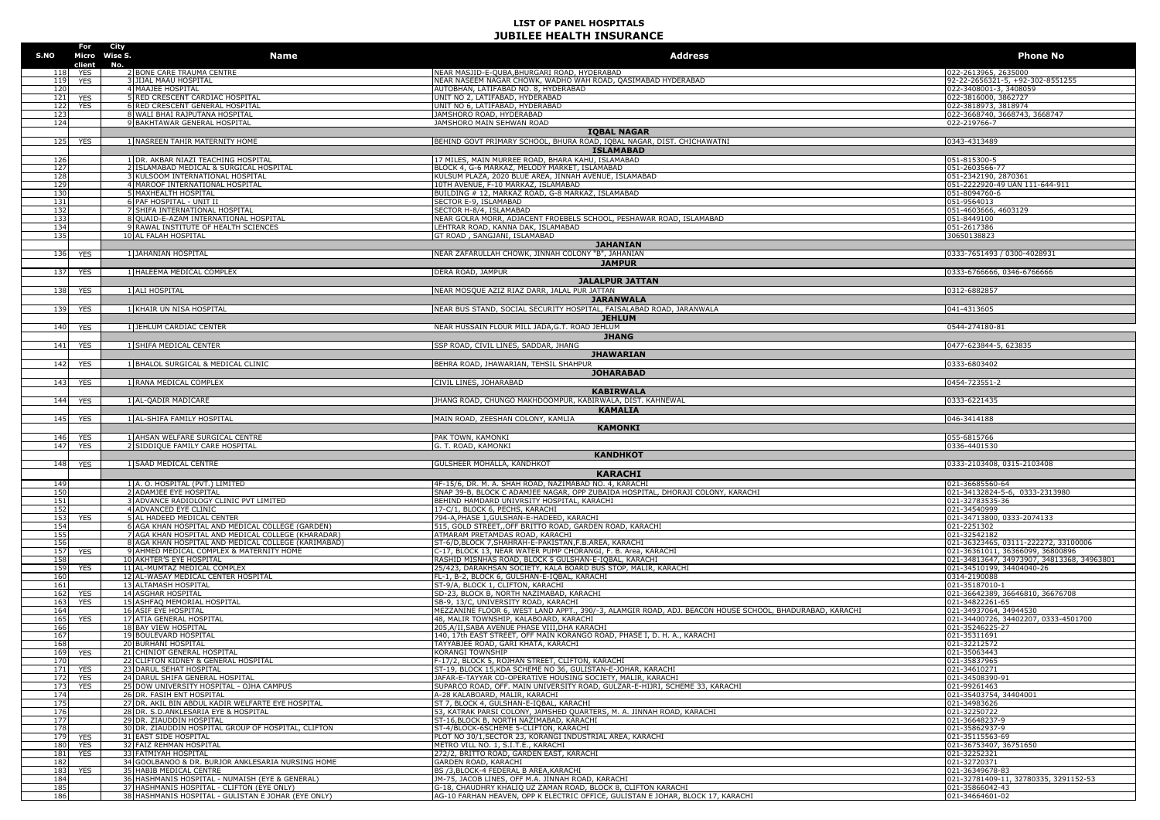| S.NO                   |                    | For City<br>Micro Wise S. | <b>Name</b>                                                                                   | <b>Address</b>                                                                                                                             | <b>Phone No</b>                                          |
|------------------------|--------------------|---------------------------|-----------------------------------------------------------------------------------------------|--------------------------------------------------------------------------------------------------------------------------------------------|----------------------------------------------------------|
|                        | client<br>118 YES  | No.                       | 2 BONE CARE TRAUMA CENTRE                                                                     | NEAR MASJID-E-QUBA, BHURGARI ROAD, HYDERABAD                                                                                               | 022-2613965, 2635000                                     |
| 119                    | <b>YES</b>         |                           | <b>JIJAL MAAU HOSPITAL</b>                                                                    | NEAR NASEEM NAGAR CHOWK, WADHO WAH ROAD, QASIMABAD HYDERABAD                                                                               | 92-22-2656321-5, +92-302-8551255                         |
| 120                    |                    |                           | 4 MAAJEE HOSPITAL                                                                             | AUTOBHAN, LATIFABAD NO. 8, HYDERABAD                                                                                                       | 022-3408001-3, 3408059                                   |
| 121                    | YES                |                           | 5 RED CRESCENT CARDIAC HOSPITAL                                                               | UNIT NO 2, LATIFABAD, HYDERABAD                                                                                                            | 022-3816000, 3862727                                     |
| 122<br>12 <sup>7</sup> | <b>YES</b>         |                           | RED CRESCENT GENERAL HOSPITAL<br>8 WALI BHAI RAJPUTANA HOSPITAL                               | UNIT NO 6, LATIFABAD, HYDERABAD<br>JAMSHORO ROAD, HYDERABAD                                                                                | 022-3818973, 3818974<br>022-3668740, 3668743, 3668747    |
| 124                    |                    |                           | 9 BAKHTAWAR GENERAL HOSPITAL                                                                  | JAMSHORO MAIN SEHWAN ROAD                                                                                                                  | 022-219766-7                                             |
|                        |                    |                           |                                                                                               | <b>IQBAL NAGAR</b>                                                                                                                         |                                                          |
| 125                    | <b>YES</b>         |                           | 1 NASREEN TAHIR MATERNITY HOME                                                                | BEHIND GOVT PRIMARY SCHOOL, BHURA ROAD, IQBAL NAGAR, DIST. CHICHAWATNI                                                                     | 0343-4313489                                             |
|                        |                    |                           |                                                                                               | <b>ISLAMABAD</b>                                                                                                                           |                                                          |
| 126                    |                    |                           | 1 DR. AKBAR NIAZI TEACHING HOSPITAL                                                           | 17 MILES, MAIN MURREE ROAD, BHARA KAHU, ISLAMABAD                                                                                          | 051-815300-5                                             |
| 127                    |                    |                           | ISLAMABAD MEDICAL & SURGICAL HOSPITAL                                                         | BLOCK 4, G-6 MARKAZ, MELODY MARKET, ISLAMABAD                                                                                              | 051-2603566-77                                           |
| 128                    |                    |                           | KULSOOM INTERNATIONAL HOSPITAL                                                                | KULSUM PLAZA, 2020 BLUE AREA, JINNAH AVENUE, ISLAMABAD                                                                                     | 051-2342190, 2870361                                     |
| 129<br>130             |                    |                           | 4 MAROOF INTERNATIONAL HOSPITAL<br>MAXHEALTH HOSPITAL                                         | 10TH AVENUE, F-10 MARKAZ, ISLAMABAD<br>BUILDING # 12, MARKAZ ROAD, G-8 MARKAZ, ISLAMABAD                                                   | 051-2222920-49 UAN 111-644-911                           |
| 131                    |                    |                           | PAF HOSPITAL - UNIT II                                                                        | SECTOR E-9, ISLAMABAD                                                                                                                      | 051-8094760-6<br>051-9564013                             |
| 132                    |                    |                           | 7 SHIFA INTERNATIONAL HOSPITAL                                                                | SECTOR H-8/4, ISLAMABAD                                                                                                                    | 051-4603666, 4603129                                     |
| 133                    |                    |                           | 8 OUAID-E-AZAM INTERNATIONAL HOSPITAL                                                         | NEAR GOLRA MORR, ADJACENT FROEBELS SCHOOL, PESHAWAR ROAD, ISLAMABAD                                                                        | 051-8449100                                              |
| 134                    |                    |                           | 9 RAWAL INSTITUTE OF HEALTH SCIENCES                                                          | LEHTRAR ROAD, KANNA DAK, ISLAMABAD                                                                                                         | 051-2617386                                              |
| 135                    |                    |                           | 10 AL FALAH HOSPITAL                                                                          | GT ROAD, SANGJANI, ISLAMABAD                                                                                                               | 30650138823                                              |
|                        |                    |                           |                                                                                               | <b>JAHANIAN</b>                                                                                                                            |                                                          |
|                        | 136 YES            |                           | 1 JAHANIAN HOSPITAL                                                                           | NEAR ZAFARULLAH CHOWK, JINNAH COLONY "B", JAHANIAN                                                                                         | 0333-7651493 / 0300-4028931                              |
|                        |                    |                           |                                                                                               | <b>JAMPUR</b><br>DERA ROAD, JAMPUR                                                                                                         |                                                          |
|                        | 137 YES            |                           | 1 HALEEMA MEDICAL COMPLEX                                                                     | <b>JALALPUR JATTAN</b>                                                                                                                     | 0333-6766666, 0346-6766666                               |
| 138                    | <b>YES</b>         |                           | 1 ALI HOSPITAL                                                                                | NEAR MOSQUE AZIZ RIAZ DARR, JALAL PUR JATTAN                                                                                               | 0312-6882857                                             |
|                        |                    |                           |                                                                                               | <b>JARANWALA</b>                                                                                                                           |                                                          |
| 139                    | <b>YES</b>         |                           | 1 KHAIR UN NISA HOSPITAL                                                                      | NEAR BUS STAND, SOCIAL SECURITY HOSPITAL, FAISALABAD ROAD, JARANWALA                                                                       | 041-4313605                                              |
|                        |                    |                           |                                                                                               | <b>JEHLUM</b>                                                                                                                              |                                                          |
| 140                    | <b>YES</b>         |                           | 1 JEHLUM CARDIAC CENTER                                                                       | NEAR HUSSAIN FLOUR MILL JADA, G.T. ROAD JEHLUM                                                                                             | 0544-274180-81                                           |
|                        |                    |                           |                                                                                               | <b>JHANG</b>                                                                                                                               |                                                          |
|                        | 141 YES            |                           | 1 SHIFA MEDICAL CENTER                                                                        | <b>SSP ROAD, CIVIL LINES, SADDAR, JHANG</b>                                                                                                | 0477-623844-5, 623835                                    |
|                        |                    |                           |                                                                                               | <b>JHAWARIAN</b>                                                                                                                           |                                                          |
| 142                    | <b>YES</b>         |                           | 1 BHALOL SURGICAL & MEDICAL CLINIC                                                            | BEHRA ROAD, JHAWARIAN, TEHSIL SHAHPUR                                                                                                      | 0333-6803402                                             |
|                        |                    |                           |                                                                                               | <b>JOHARABAD</b>                                                                                                                           |                                                          |
|                        | 143 YES            |                           | 1 RANA MEDICAL COMPLEX                                                                        | CIVIL LINES, JOHARABAD                                                                                                                     | 0454-723551-2                                            |
|                        |                    |                           |                                                                                               | <b>KABIRWALA</b>                                                                                                                           |                                                          |
|                        | 144 YES            |                           | 1 AL-QADIR MADICARE                                                                           | JHANG ROAD, CHUNGO MAKHDOOMPUR, KABIRWALA, DIST. KAHNEWAL                                                                                  | 0333-6221435                                             |
|                        | 145 YES            |                           | 1 AL-SHIFA FAMILY HOSPITAL                                                                    | <b>KAMALIA</b><br>MAIN ROAD, ZEESHAN COLONY, KAMLIA                                                                                        | 046-3414188                                              |
|                        |                    |                           |                                                                                               | <b>KAMONKI</b>                                                                                                                             |                                                          |
|                        |                    |                           |                                                                                               |                                                                                                                                            |                                                          |
| 146                    | <b>YES</b>         |                           | 1 AHSAN WELFARE SURGICAL CENTRE                                                               | PAK TOWN, KAMONKI                                                                                                                          | 055-6815766                                              |
| 147                    | <b>YES</b>         |                           | 2 SIDDIQUE FAMILY CARE HOSPITAL                                                               | G. T. ROAD, KAMONKI                                                                                                                        | 0336-4401530                                             |
|                        |                    |                           |                                                                                               | <b>KANDHKOT</b>                                                                                                                            |                                                          |
| 148                    | <b>YES</b>         |                           | 1 SAAD MEDICAL CENTRE                                                                         | GULSHEER MOHALLA, KANDHKOT                                                                                                                 | 0333-2103408, 0315-2103408                               |
|                        |                    |                           |                                                                                               | <b>KARACHI</b>                                                                                                                             |                                                          |
| 149                    |                    |                           | 1 A. O. HOSPITAL (PVT.) LIMITED                                                               | 4F-15/6, DR. M. A. SHAH ROAD, NAZIMABAD NO. 4, KARACHI                                                                                     | 021-36685560-64                                          |
| 150                    |                    |                           | 2 ADAMJEE EYE HOSPITAL                                                                        | SNAP 39-B, BLOCK C ADAMJEE NAGAR, OPP ZUBAIDA HOSPITAL, DHORAJI COLONY, KARACHI                                                            | 021-34132824-5-6, 0333-2313980                           |
| 151                    |                    |                           | ADVANCE RADIOLOGY CLINIC PVT LIMITED                                                          | BEHIND HAMDARD UNIVRSITY HOSPITAL, KARACHI                                                                                                 | 021-32783535-36                                          |
| 152                    |                    |                           | 4 ADVANCED EYE CLINIC                                                                         | 17-C/1, BLOCK 6, PECHS, KARACHI                                                                                                            | 021-34540999                                             |
| 153<br>154             | YES                |                           | 5 AL HADEED MEDICAL CENTER<br>6 AGA KHAN HOSPITAL AND MEDICAL COLLEGE (GARDEN)                | 794-A, PHASE 1, GULSHAN-E-HADEED, KARACHI<br>515, GOLD STREET, OFF BRITTO ROAD, GARDEN ROAD, KARACHI                                       | 021-34713800, 0333-2074133<br>021-2251302                |
| 155                    |                    |                           | 7 AGA KHAN HOSPITAL AND MEDICAL COLLEGE (KHARADAR)                                            | ATMARAM PRETAMDAS ROAD, KARACHI                                                                                                            | 021-32542182                                             |
| 156                    |                    |                           | 8 AGA KHAN HOSPITAL AND MEDICAL COLLEGE (KARIMABAD)                                           | ST-6/D, BLOCK 7, SHAHRAH-E-PAKISTAN, F.B.AREA, KARACHI                                                                                     | 021-36323465, 03111-222272, 33100006                     |
| 157                    | YES                |                           | 9 AHMED MEDICAL COMPLEX & MATERNITY HOME                                                      | C-17, BLOCK 13, NEAR WATER PUMP CHORANGI, F. B. Area, KARACHI                                                                              | 021-36361011, 36366099, 36800896                         |
| 158                    |                    |                           | 10 AKHTER'S EYE HOSPITAL                                                                      | RASHID MISNHAS ROAD, BLOCK 5 GULSHAN-E-IQBAL, KARACHI                                                                                      | 021-34813647, 34973907, 34813368, 34963801               |
| 159<br>160             | YES                |                           | 11 AL-MUMTAZ MEDICAL COMPLEX<br>12 AL-WASAY MEDICAL CENTER HOSPITAL                           | 25/423, DARAKHSAN SOCIETY, KALA BOARD BUS STOP, MALIR, KARACHI<br>FL-1, B-2, BLOCK 6, GULSHAN-E-IQBAL, KARACHI                             | 021-34510199, 34404040-26<br>0314-2190088                |
| 161                    |                    |                           | 13 ALTAMASH HOSPITAL                                                                          | ST-9/A, BLOCK 1, CLIFTON, KARACHI                                                                                                          | 021-35187010-1                                           |
| 162                    | YES                |                           | 14 ASGHAR HOSPITAL                                                                            | SD-23, BLOCK B, NORTH NAZIMABAD, KARACHI                                                                                                   | 021-36642389, 36646810, 36676708                         |
| 163                    | YES                |                           | 15 ASHFAQ MEMORIAL HOSPITAL                                                                   | SB-9, 13/C, UNIVERSITY ROAD, KARACHI                                                                                                       | 021-34822261-65                                          |
| 164                    |                    |                           | <b>16 ASIF EYE HOSPITAL</b>                                                                   | MEZZANINE FLOOR 6, WEST LAND APPT., 390/-3, ALAMGIR ROAD, ADJ. BEACON HOUSE SCHOOL, BHADURABAD, KARACHI                                    | 021-34937064, 34944530                                   |
| 165                    | <b>YES</b>         |                           | 17 ATIA GENERAL HOSPITAL                                                                      | 48, MALIR TOWNSHIP, KALABOARD, KARACHI                                                                                                     | 021-34400726, 34402207, 0333-4501700                     |
| 166<br>167             |                    |                           | 18 BAY VIEW HOSPITAL<br>19 BOULEVARD HOSPITAL                                                 | 205, A/II, SABA AVENUE PHASE VIII, DHA KARACHI<br>140, 17th EAST STREET, OFF MAIN KORANGO ROAD, PHASE I, D. H. A., KARACHI                 | 021-35246225-27<br>021-35311691                          |
| 168                    |                    |                           | <b>20 BURHANI HOSPITAL</b>                                                                    | TAYYABJEE ROAD, GARI KHATA, KARACHI                                                                                                        | 021-32212572                                             |
| 169                    | YES                |                           | 21 CHINIOT GENERAL HOSPITAL                                                                   | <b>KORANGI TOWNSHIP</b>                                                                                                                    | 021-35063443                                             |
|                        |                    |                           | <b>ZZICLIFION KIDNEY &amp; GENERAL HOSPITAL</b>                                               | -17/2, BLOCK 5, ROJHAN STREET, CLIFTON, KARACH.                                                                                            | ,,,,,,,,,,,,,,,                                          |
| 171                    | <b>YES</b>         |                           | 23 DARUL SEHAT HOSPITAL                                                                       | ST-19, BLOCK 15, KDA SCHEME NO 36, GULISTAN-E-JOHAR, KARACHI                                                                               | 021-34610271                                             |
| 172                    | <b>YES</b>         |                           | 24 DARUL SHIFA GENERAL HOSPITAL                                                               | JAFAR-E-TAYYAR CO-OPERATIVE HOUSING SOCIETY, MALIR, KARACHI<br>SUPARCO ROAD, OFF, MAIN UNIVERSITY ROAD, GULZAR-E-HIJRI, SCHEME 33, KARACHI | 021-34508390-91                                          |
| 173<br>174             | <b>YES</b>         |                           | 25 DOW UNIVERSITY HOSPITAL - OJHA CAMPUS<br>26 DR. FASIH ENT HOSPITAL                         | A-28 KALABOARD, MALIR, KARACHI                                                                                                             | 021-99261463<br>021-35403754, 34404001                   |
| 175                    |                    |                           | 27 DR. AKIL BIN ABDUL KADIR WELFARTE EYE HOSPITAL                                             | ST 7, BLOCK 4, GULSHAN-E-IOBAL, KARACHI                                                                                                    | 021-34983626                                             |
| 176                    |                    |                           | 28 DR. S.D.ANKLESARIA EYE & HOSPITAL                                                          | 53, KATRAK PARSI COLONY, JAMSHED QUARTERS, M. A. JINNAH ROAD, KARACHI                                                                      | 021-32250722                                             |
| 177                    |                    |                           | 29 DR. ZIAUDDIN HOSPITAL                                                                      | ST-16, BLOCK B, NORTH NAZIMABAD, KARACHI                                                                                                   | 021-36648237-9                                           |
| 178                    |                    |                           | 30 DR. ZIAUDDIN HOSPITAL GROUP OF HOSPITAL, CLIFTON                                           | ST-4/BLOCK-6SCHEME 5-CLIFTON, KARACHI                                                                                                      | 021-35862937-9                                           |
|                        | 179 YES            |                           | 31 EAST SIDE HOSPITAL                                                                         | PLOT NO 30/1. SECTOR 23, KORANGI INDUSTRIAL AREA, KARACHI                                                                                  | 021-35115563-69<br>021-36753407, 36751650                |
|                        | 180 YES<br>181 YFS |                           | 32 FAIZ REHMAN HOSPITAL<br>33 FATMIYAH HOSPITAL                                               | METRO VILL NO. 1, S.I.T.E., KARACHI<br>272/2, BRITTO ROAD, GARDEN EAST, KARACHI                                                            | 021-32252321                                             |
| 182                    |                    |                           | 34 GOOLBANOO & DR. BURJOR ANKLESARIA NURSING HOME                                             | GARDEN ROAD, KARACHI                                                                                                                       | 021-32720371                                             |
| 183                    | <b>YES</b>         |                           | 35 HABIB MEDICAL CENTRE                                                                       | BS /3, BLOCK-4 FEDERAL B AREA, KARACHI                                                                                                     | 021-36349678-83                                          |
| 184<br>185             |                    |                           | 36 HASHMANIS HOSPITAL - NUMAISH (EYE & GENERAL)<br>37 HASHMANIS HOSPITAL - CLIFTON (EYE ONLY) | JM-75, JACOB LINES, OFF M.A. JINNAH ROAD, KARACHI<br>G-18, CHAUDHRY KHALIO UZ ZAMAN ROAD, BLOCK 8, CLIFTON KARACHI                         | 021-32781409-11, 32780335, 3291152-53<br>021-35866042-43 |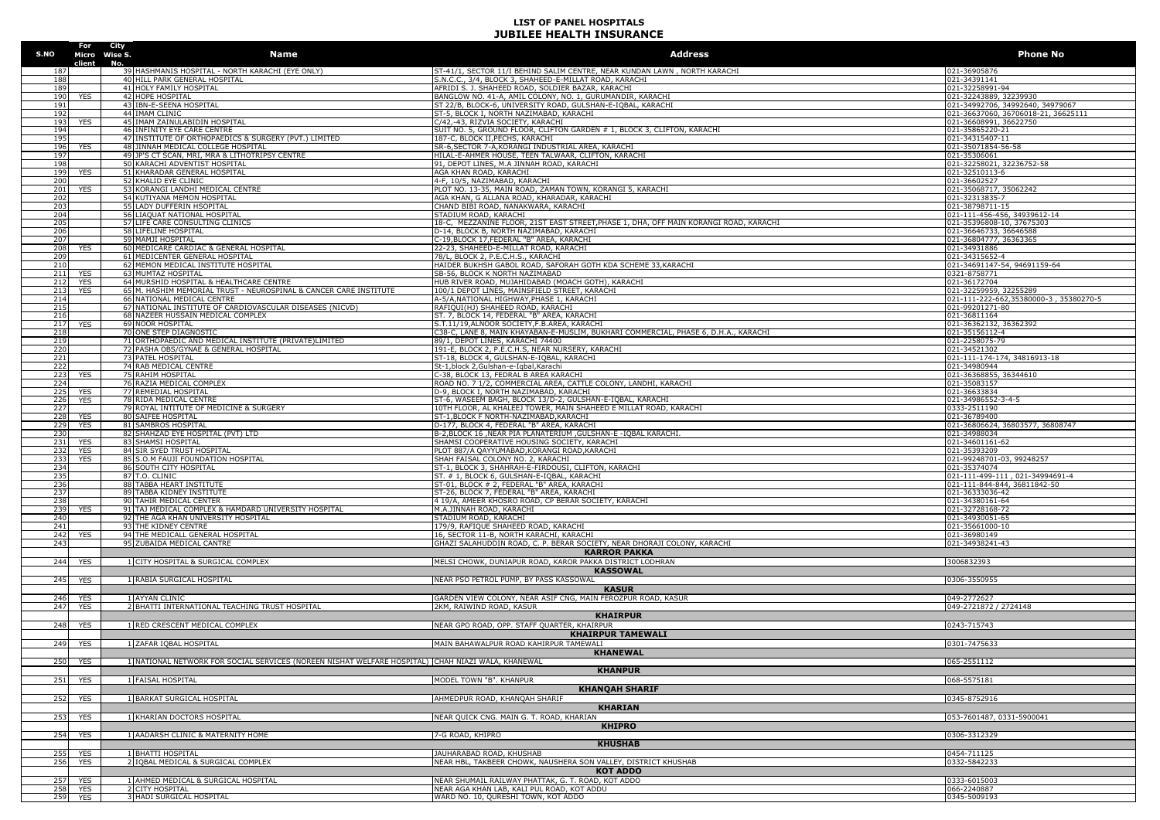|            | For<br>S.NO Micro Wise S. | Name                                                                                             | <b>Address</b>                                                                                                                   | <b>Phone No</b>                                          |
|------------|---------------------------|--------------------------------------------------------------------------------------------------|----------------------------------------------------------------------------------------------------------------------------------|----------------------------------------------------------|
|            | client                    | No.<br>39 HASHMANIS HOSPITAL - NORTH KARACHI (EYE ONLY)                                          | ST-41/1, SECTOR 11/I BEHIND SALIM CENTRE, NEAR KUNDAN LAWN, NORTH KARACHI                                                        | 021-36905876                                             |
| 188        |                           | 40 HILL PARK GENERAL HOSPITAL                                                                    | S.N.C.C., 3/4, BLOCK 3, SHAHEED-E-MILLAT ROAD, KARACHI                                                                           | 021-34391141                                             |
| 189        |                           | 41 HOLY FAMILY HOSPITAL                                                                          | AFRIDI S. J. SHAHEED ROAD, SOLDIER BAZAR, KARACHI                                                                                | 021-32258991-94                                          |
| 190        | <b>YES</b>                | 42 HOPE HOSPITAL                                                                                 | BANGLOW NO. 41-A, AMIL COLONY, NO. 1, GURUMANDIR, KARACHI                                                                        | 021-32243889, 32239930                                   |
| 191        |                           | 43 IBN-E-SEENA HOSPITAL                                                                          | ST 22/B, BLOCK-6, UNIVERSITY ROAD, GULSHAN-E-IQBAL, KARACHI                                                                      | 021-34992706, 34992640, 34979067                         |
| 192        |                           | 44 IMAM CLINIC                                                                                   | ST-5, BLOCK I, NORTH NAZIMABAD, KARACHI                                                                                          | 021-36637060, 36706018-21, 36625111                      |
| 193        | <b>YES</b>                | 45 IMAM ZAINULABIDIN HOSPITAL                                                                    | C/42,-43, RIZVIA SOCIETY, KARACHI                                                                                                | 021-36608991, 36622750                                   |
| 194        |                           | 46 INFINITY EYE CARE CENTRE                                                                      | SUIT NO. 5, GROUND FLOOR, CLIFTON GARDEN # 1, BLOCK 3, CLIFTON, KARACHI                                                          | 021-35865220-21                                          |
| 195        |                           | 47 INSTITUTE OF ORTHOPAEDICS & SURGERY (PVT.) LIMITED                                            | 187-C, BLOCK II, PECHS, KARACHI                                                                                                  | 021-34315407-11                                          |
| 196<br>197 | <b>YES</b>                | 48 JINNAH MEDICAL COLLEGE HOSPITAL<br>49 JP'S CT SCAN, MRI, MRA & LITHOTRIPSY CENTRE             | SR-6, SECTOR 7-A, KORANGI INDUSTRIAL AREA, KARACHI<br>HILAL-E-AHMER HOUSE, TEEN TALWAAR, CLIFTON, KARACHI                        | 021-35071854-56-58<br>021-35306061                       |
| 198        |                           | 50 KARACHI ADVENTIST HOSPITAL                                                                    | 91, DEPOT LINES, M.A JINNAH ROAD, KARACHI                                                                                        | 021-32258021, 32236752-58                                |
| 199        | <b>YES</b>                | 51 KHARADAR GENERAL HOSPITAL                                                                     | AGA KHAN ROAD, KARACHI                                                                                                           | 021-32510113-6                                           |
| 200        |                           | 52 KHALID EYE CLINIC                                                                             | 4-F, 10/5, NAZIMABAD, KARACHI                                                                                                    | 021-36602527                                             |
| 201        | YES                       | 53 KORANGI LANDHI MEDICAL CENTRE                                                                 | PLOT NO. 13-35, MAIN ROAD, ZAMAN TOWN, KORANGI 5, KARACHI                                                                        | 021-35068717, 35062242                                   |
| 202        |                           | 54 KUTIYANA MEMON HOSPITAL                                                                       | AGA KHAN, G ALLANA ROAD, KHARADAR, KARACHI                                                                                       | 021-32313835-7                                           |
| 203        |                           | 55 LADY DUFFERIN HSOPITAL                                                                        | CHAND BIBI ROAD, NANAKWARA, KARACHI                                                                                              | 021-38798711-15                                          |
| 204        |                           | 56 LIAQUAT NATIONAL HOSPITAL                                                                     | STADIUM ROAD, KARACHI                                                                                                            | 021-111-456-456, 34939612-14                             |
| 205<br>206 |                           | 57 LIFE CARE CONSULTING CLINICS<br>58 LIFELINE HOSPITAL                                          | 18-C, MEZZANINE FLOOR, 21ST EAST STREET, PHASE 1, DHA, OFF MAIN KORANGI ROAD, KARACHI<br>D-14, BLOCK B, NORTH NAZIMABAD, KARACHI | 021-35396808-10, 37675303<br>021-36646733, 36646588      |
| 207        |                           | 59 MAMJI HOSPITAL                                                                                | C-19, BLOCK 17, FEDERAL "B" AREA, KARACHI                                                                                        | 021-36804777, 36363365                                   |
| 208        | YES                       | 60 MEDICARE CARDIAC & GENERAL HOSPITAL                                                           | 22-23, SHAHEED-E-MILLAT ROAD, KARACHI                                                                                            | 021-34931886                                             |
| 209        |                           | 61 MEDICENTER GENERAL HOSPITAL                                                                   | 78/L, BLOCK 2, P.E.C.H.S., KARACHI                                                                                               | 021-34315652-4                                           |
| 210        |                           | 62 MEMON MEDICAL INSTITUTE HOSPITAL                                                              | HAIDER BUKHSH GABOL ROAD, SAFORAH GOTH KDA SCHEME 33, KARACHI                                                                    | 021-34691147-54, 94691159-64                             |
| 211        | <b>YES</b>                | 63 MUMTAZ HOSPITAL                                                                               | SB-56, BLOCK K NORTH NAZIMABAD                                                                                                   | 0321-8758771                                             |
| 212        | <b>YES</b>                | 64 MURSHID HOSPITAL & HEALTHCARE CENTRE                                                          | HUB RIVER ROAD, MUJAHIDABAD (MOACH GOTH), KARACHI                                                                                | 021-36172704                                             |
| 213        | <b>YES</b>                | 65 M. HASHIM MEMORIAL TRUST - NEUROSPINAL & CANCER CARE INSTITUTE                                | 100/1 DEPOT LINES, MAINSFIELD STREET, KARACHI                                                                                    | 021-32259959, 32255289                                   |
| 214<br>215 |                           | 66 NATIONAL MEDICAL CENTRE<br>67 NATIONAL INSTITUTE OF CARDIOVASCULAR DISEASES (NICVD)           | A-5/A, NATIONAL HIGHWAY, PHASE 1, KARACHI<br>RAFIQUI(HJ) SHAHEED ROAD, KARACHI                                                   | 021-111-222-662,35380000-3,35380270-5<br>021-99201271-80 |
| 216        |                           | 68 NAZEER HUSSAIN MEDICAL COMPLEX                                                                | ST. 7, BLOCK 14, FEDERAL "B" AREA, KARACHI                                                                                       | 021-36811164                                             |
| 217        | YES                       | 69 NOOR HOSPITAL                                                                                 | S.T.11/19, ALNOOR SOCIETY, F.B.AREA, KARACHI                                                                                     | 021-36362132, 36362392                                   |
| 218        |                           | 70 ONE STEP DIAGNOSTIC                                                                           | C38-C, LANE 8, MAIN KHAYABAN-E-MUSLIM, BUKHARI COMMERCIAL, PHASE 6, D.H.A., KARACHI                                              | 021-35156112-4                                           |
| 219        |                           | 71 ORTHOPAEDIC AND MEDICAL INSTITUTE (PRIVATE)LIMITED                                            | 89/1, DEPOT LINES, KARACHI 74400                                                                                                 | 021-2258075-79                                           |
| 220        |                           | 72 PASHA OBS/GYNAE & GENERAL HOSPITAL                                                            | 191-E, BLOCK 2, P.E.C.H.S, NEAR NURSERY, KARACHI                                                                                 | 021-34521302                                             |
| 221        |                           | 73 PATEL HOSPITAL                                                                                | ST-18, BLOCK 4, GULSHAN-E-IQBAL, KARACHI                                                                                         | 021-111-174-174, 34816913-18                             |
| 222<br>223 | YES                       | <b>74 RAB MEDICAL CENTRE</b><br>75 RAHIM HOSPITAL                                                | St-1,block 2,Gulshan-e-Iqbal,Karachi<br>-38. BLOCK 13. FEDRAL B AREA KARACHT                                                     | 121-34980944<br>021-36368855, 36344610                   |
| 224        |                           | 76 RAZIA MEDICAL COMPLEX                                                                         | ROAD NO. 7 1/2, COMMERCIAL AREA, CATTLE COLONY, LANDHI, KARACHI                                                                  | 021-35083157                                             |
| 225        | YES                       | 77 REMEDIAL HOSPITAL                                                                             | D-9, BLOCK I, NORTH NAZIMABAD, KARACHI                                                                                           | 021-36633834                                             |
| 226        | <b>YES</b>                | 78 RIDA MEDICAL CENTRE                                                                           | ST-6, WASEEM BAGH, BLOCK 13/D-2, GULSHAN-E-IQBAL, KARACHI                                                                        | 021-34986552-3-4-5                                       |
| 227        |                           | 79 ROYAL INTITUTE OF MEDICINE & SURGERY                                                          | 10TH FLOOR, AL KHALEEJ TOWER, MAIN SHAHEED E MILLAT ROAD, KARACHI                                                                | 0333-2511190                                             |
| 228        | YES                       | 80 SAIFEE HOSPITAL                                                                               | ST-1, BLOCK F NORTH-NAZIMABAD, KARACHI                                                                                           | 021-36789400                                             |
| 229<br>230 | YES                       | 81 SAMBROS HOSPITAL<br>82 SHAHZAD EYE HOSPITAL (PVT) LTD                                         | D-177, BLOCK 4, FEDERAL "B" AREA, KARACHI<br>B-2,BLOCK 16 ,NEAR PIA PLANATERIUM ,GULSHAN-E -IQBAL KARACHI.                       | 021-36806624, 36803577, 36808747<br>021-34988034         |
| 231        | <b>YES</b>                | 83 SHAMSI HOSPITAL                                                                               | SHAMSI COOPERATIVE HOUSING SOCIETY, KARACHI                                                                                      | 021-34601161-62                                          |
| 232        | YES                       | 84 SIR SYED TRUST HOSPITAL                                                                       | PLOT 887/A QAYYUMABAD, KORANGI ROAD, KARACHI                                                                                     | 021-35393209                                             |
| 233        | <b>YES</b>                | 85 S.O.M FAUJI FOUNDATION HOSPITAL                                                               | SHAH FAISAL COLONY NO. 2, KARACHI                                                                                                | 021-99248701-03, 99248257                                |
| 234        |                           | 86 SOUTH CITY HOSPITAL                                                                           | ST-1, BLOCK 3, SHAHRAH-E-FIRDOUSI, CLIFTON, KARACHI                                                                              | 021-35374074                                             |
| 235<br>236 |                           | 87 T.O. CLINIC                                                                                   | ST. # 1, BLOCK 6, GULSHAN-E-IQBAL, KARACHI                                                                                       | 021-111-499-111, 021-34994691-4                          |
| 237        |                           | 88 TABBA HEART INSTITUTE<br>89 TABBA KIDNEY INSTITUTE                                            | ST-01, BLOCK # 2, FEDERAL "B" AREA, KARACHI<br>ST-26, BLOCK 7, FEDERAL "B" AREA, KARACHI                                         | 021-111-844-844, 36811842-50<br>021-36333036-42          |
| 238        |                           | 90 TAHIR MEDICAL CENTER                                                                          | 4 19/A, AMEER KHOSRO ROAD, CP BERAR SOCIETY, KARACHI                                                                             | 021-34380161-64                                          |
| 239        | <b>YES</b>                | 91 TAJ MEDICAL COMPLEX & HAMDARD UNIVERSITY HOSPITAL                                             | M.A.JINNAH ROAD, KARACHI                                                                                                         | 021-32728168-72                                          |
| 240        |                           | 92 THE AGA KHAN UNIVERSITY HOSPITAL                                                              | STADIUM ROAD, KARACHI                                                                                                            | 021-34930051-65                                          |
| 241        |                           | 93 THE KIDNEY CENTRE                                                                             | 179/9, RAFIQUE SHAHEED ROAD, KARACHI                                                                                             | 021-35661000-10                                          |
| 242        | <b>YES</b>                | 94 THE MEDICALL GENERAL HOSPITAL                                                                 | 16, SECTOR 11-B, NORTH KARACHI, KARACHI                                                                                          | 021-36980149                                             |
| 243        |                           | 95 ZUBAIDA MEDICAL CANTRE                                                                        | GHAZI SALAHUDDIN ROAD, C. P. BERAR SOCIETY, NEAR DHORAJI COLONY, KARACHI                                                         | 021-34938241-43                                          |
|            |                           |                                                                                                  | <b>KARROR PAKKA</b>                                                                                                              |                                                          |
| 244        | <b>YES</b>                | 1 CITY HOSPITAL & SURGICAL COMPLEX                                                               | MELSI CHOWK, DUNIAPUR ROAD, KAROR PAKKA DISTRICT LODHRAN<br><b>KASSOWAL</b>                                                      | 3006832393                                               |
| 245        | <b>YES</b>                | 1 RABIA SURGICAL HOSPITAL                                                                        | NEAR PSO PETROL PUMP, BY PASS KASSOWAL                                                                                           | 0306-3550955                                             |
|            |                           |                                                                                                  | <b>KASUR</b>                                                                                                                     |                                                          |
| 246        | YES                       | 1 AYYAN CLINIC                                                                                   | GARDEN VIEW COLONY, NEAR ASIF CNG, MAIN FEROZPUR ROAD, KASUR                                                                     | 049-2772627                                              |
| 247        | <b>YES</b>                | 2 BHATTI INTERNATIONAL TEACHING TRUST HOSPITAL                                                   | 2KM, RAIWIND ROAD, KASUR                                                                                                         | 049-2721872 / 2724148                                    |
|            |                           |                                                                                                  | <b>KHAIRPUR</b>                                                                                                                  |                                                          |
| 248        | <b>YES</b>                | 1 RED CRESCENT MEDICAL COMPLEX                                                                   | NEAR GPO ROAD, OPP. STAFF QUARTER, KHAIRPUR                                                                                      | 0243-715743                                              |
|            |                           |                                                                                                  | <b>KHAIRPUR TAMEWALI</b>                                                                                                         |                                                          |
|            | 249 YES                   | 1 ZAFAR IQBAL HOSPITAL                                                                           | MAIN BAHAWALPUR ROAD KAHIRPUR TAMEWALI                                                                                           | 0301-7475633                                             |
|            |                           |                                                                                                  | <b>KHANEWAL</b>                                                                                                                  |                                                          |
| 250.       | <b>YFS</b>                | 1 NATIONAL NETWORK FOR SOCIAL SERVICES (NORFEN NISHAT WELFARE HOSPITAL) CHAH NIAZI WALA KHANEWAL |                                                                                                                                  | 065-2551112                                              |
|            |                           |                                                                                                  | <b>KHANPUR</b>                                                                                                                   |                                                          |
| 251        | <b>YES</b>                | 1 FAISAL HOSPITAL                                                                                | MODEL TOWN "B". KHANPUR                                                                                                          | 068-5575181                                              |
|            |                           |                                                                                                  | <b>KHANQAH SHARIF</b>                                                                                                            |                                                          |
| 252        | YES                       | 1 BARKAT SURGICAL HOSPITAL                                                                       | AHMEDPUR ROAD, KHANQAH SHARIF                                                                                                    | 0345-8752916                                             |
|            |                           |                                                                                                  | <b>KHARIAN</b>                                                                                                                   |                                                          |
| 253        | <b>YES</b>                | 1 KHARIAN DOCTORS HOSPITAL                                                                       | NEAR QUICK CNG. MAIN G. T. ROAD, KHARIAN                                                                                         | 053-7601487, 0331-5900041                                |
| 254        | <b>YES</b>                | 1 AADARSH CLINIC & MATERNITY HOME                                                                | <b>KHIPRO</b><br>7-G ROAD, KHIPRO                                                                                                | 0306-3312329                                             |
|            |                           |                                                                                                  | <b>KHUSHAB</b>                                                                                                                   |                                                          |
| 255        | <b>YES</b>                | 1 BHATTI HOSPITAL                                                                                | JAUHARABAD ROAD, KHUSHAB                                                                                                         | 0454-711125                                              |
| 256        | YES                       | 2 IQBAL MEDICAL & SURGICAL COMPLEX                                                               | NEAR HBL, TAKBEER CHOWK, NAUSHERA SON VALLEY, DISTRICT KHUSHAB                                                                   | 0332-5842233                                             |
|            |                           |                                                                                                  | <b>KOT ADDO</b>                                                                                                                  |                                                          |
|            | 257 YES                   | 1 AHMED MEDICAL & SURGICAL HOSPITAL                                                              | NEAR SHUMAIL RAILWAY PHATTAK, G. T. ROAD, KOT ADDO                                                                               | 0333-6015003                                             |
| 258        | <b>YES</b>                | 2 CITY HOSPITAL                                                                                  | NEAR AGA KHAN LAB, KALI PUL ROAD, KOT ADDU                                                                                       | 066-2240887                                              |
|            | 259 YES                   | 3 HADI SURGICAL HOSPITAL                                                                         | WARD NO. 10, QURESHI TOWN, KOT ADDO                                                                                              | 0345-5009193                                             |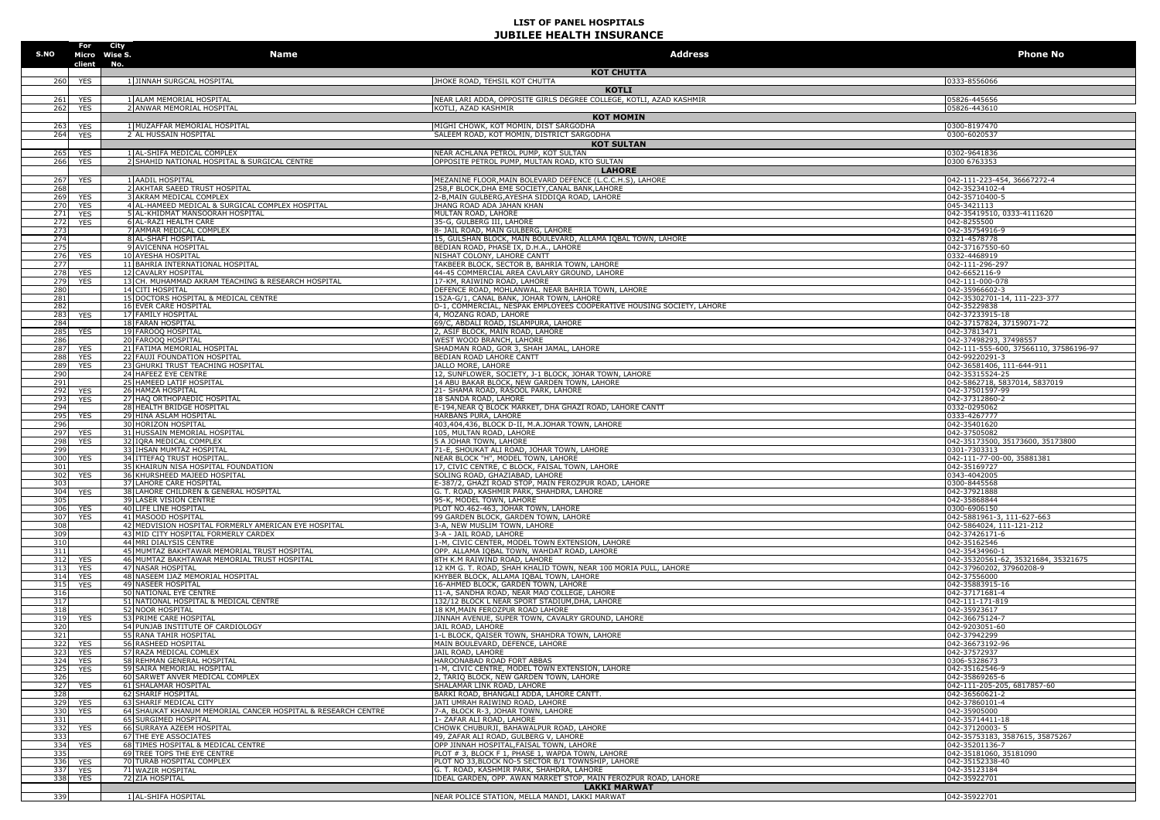| S.NO       | For                      | City<br>Micro Wise S.<br>Name                                                                | <b>Address</b>                                                                                                    | <b>Phone No</b>                                                 |
|------------|--------------------------|----------------------------------------------------------------------------------------------|-------------------------------------------------------------------------------------------------------------------|-----------------------------------------------------------------|
|            | client No.               |                                                                                              | <b>KOT CHUTTA</b>                                                                                                 |                                                                 |
| 260        | <b>YES</b>               | 1 JINNAH SURGCAL HOSPITAL                                                                    | JHOKE ROAD, TEHSIL KOT CHUTTA<br><b>KOTLI</b>                                                                     | 0333-8556066                                                    |
| 261        | <b>YES</b>               | 1 ALAM MEMORIAL HOSPITAL                                                                     | NEAR LARI ADDA, OPPOSITE GIRLS DEGREE COLLEGE, KOTLI, AZAD KASHMIR                                                | 05826-445656                                                    |
| 262        | <b>YES</b>               | 2 ANWAR MEMORIAL HOSPITAL                                                                    | KOTLI, AZAD KASHMIR                                                                                               | 05826-443610                                                    |
| 263        | YES                      | 1 MUZAFFAR MEMORIAL HOSPITAL                                                                 | <b>KOT MOMIN</b><br>MIGHI CHOWK, KOT MOMIN, DIST SARGODHA                                                         | 0300-8197470                                                    |
| 264        | <b>YES</b>               | 2 AL HUSSAIN HOSPITAL                                                                        | SALEEM ROAD, KOT MOMIN, DISTRICT SARGODHA                                                                         | 0300-6020537                                                    |
| 265        | <b>YES</b>               | 1 AL-SHIFA MEDICAL COMPLEX                                                                   | <b>KOT SULTAN</b><br>NEAR ACHLANA PETROL PUMP, KOT SULTAN                                                         | 0302-9641836                                                    |
| 266        | <b>YES</b>               | 2 SHAHID NATIONAL HOSPITAL & SURGICAL CENTRE                                                 | OPPOSITE PETROL PUMP, MULTAN ROAD, KTO SULTAN                                                                     | 0300 6763353                                                    |
| 267        | <b>YES</b>               | 1 AADIL HOSPITAL                                                                             | <b>LAHORE</b><br>MEZANINE FLOOR, MAIN BOLEVARD DEFENCE (L.C.C.H.S), LAHORE                                        | 042-111-223-454, 36667272-4                                     |
| 268        |                          | 2 AKHTAR SAEED TRUST HOSPITAL                                                                | 258,F BLOCK,DHA EME SOCIETY,CANAL BANK,LAHORE                                                                     | 042-35234102-4                                                  |
| 269<br>270 | <b>YES</b><br><b>YES</b> | 3 AKRAM MEDICAL COMPLEX<br>4 AL-HAMEED MEDICAL & SURGICAL COMPLEX HOSPITAL                   | 2-B, MAIN GULBERG, AYESHA SIDDIQA ROAD, LAHORE<br>JHANG ROAD ADA JAHAN KHAN                                       | 042-35710400-5<br>045-3421113                                   |
| 271        | YES                      | 5 AL-KHIDMAT MANSOORAH HOSPITAL                                                              | MULTAN ROAD, LAHORE                                                                                               | 042-35419510, 0333-4111620                                      |
| 272<br>273 | <b>YES</b>               | 6 AL-RAZI HEALTH CARE<br>7 AMMAR MEDICAL COMPLEX                                             | 35-G, GULBERG III, LAHORE<br>8- JAIL ROAD, MAIN GULBERG, LAHORE                                                   | 042-8255500<br>042-35754916-9                                   |
| 274        |                          | 8 AL-SHAFI HOSPITAL                                                                          | 15, GULSHAN BLOCK, MAIN BOULEVARD, ALLAMA IQBAL TOWN, LAHORE                                                      | 0321-4578778                                                    |
| 275<br>276 | YES                      | 9 AVICENNA HOSPITAL<br>10 AYESHA HOSPITAL                                                    | BEDIAN ROAD, PHASE IX, D.H.A., LAHORE<br>NISHAT COLONY, LAHORE CANTT                                              | 042-37167550-60<br>0332-4468919                                 |
| 277        |                          | 11 BAHRIA INTERNATIONAL HOSPITAL                                                             | TAKBEER BLOCK, SECTOR B, BAHRIA TOWN, LAHORE                                                                      | 042-111-296-297                                                 |
| 278<br>279 | YES<br>YES               | 12 CAVALRY HOSPITAL<br>13 CH. MUHAMMAD AKRAM TEACHING & RESEARCH HOSPITAL                    | 44-45 COMMERCIAL AREA CAVLARY GROUND, LAHORE<br>17-KM, RAIWIND ROAD, LAHORE                                       | 042-6652116-9<br>042-111-000-078                                |
| 280        |                          | 14 CITI HOSPITAL                                                                             | DEFENCE ROAD, MOHLANWAL. NEAR BAHRIA TOWN, LAHORE                                                                 | 042-35966602-3                                                  |
| 281<br>282 |                          | 15 DOCTORS HOSPITAL & MEDICAL CENTRE<br>16 EVER CARE HOSPITAL                                | 152A-G/1, CANAL BANK, JOHAR TOWN, LAHORE<br>D-1, COMMERCIAL, NESPAK EMPLOYEES COOPERATIVE HOUSING SOCIETY, LAHORE | 042-35302701-14, 111-223-377<br>042-35229838                    |
| 283        | YES                      | 17 FAMILY HOSPITAL                                                                           | 4. MOZANG ROAD, LAHORE                                                                                            | 042-37233915-18                                                 |
| 284<br>285 | <b>YES</b>               | <b>18 FARAN HOSPITAL</b><br>19 FAROOQ HOSPITAL                                               | 69/C, ABDALI ROAD, ISLAMPURA, LAHORE<br>2, ASIF BLOCK, MAIN ROAD, LAHORE                                          | 042-37157824, 37159071-72<br>042-37813471                       |
| 286        |                          | 20 FAROOQ HOSPITAL                                                                           | WEST WOOD BRANCH, LAHORE                                                                                          | 042-37498293, 37498557                                          |
| 287<br>288 | <b>YES</b><br><b>YES</b> | 21 FATIMA MEMORIAL HOSPITAL<br>22 FAUJI FOUNDATION HOSPITAL                                  | SHADMAN ROAD, GOR 3, SHAH JAMAL, LAHORE<br>BEDIAN ROAD LAHORE CANTT                                               | 042-111-555-600, 37566110, 37586196-97<br>042-99220291-3        |
| 289        | <b>YES</b>               | 23 GHURKI TRUST TEACHING HOSPITAL                                                            | JALLO MORE, LAHORE                                                                                                | 042-36581406, 111-644-911                                       |
| 290<br>291 |                          | 24 HAFEEZ EYE CENTRE<br>25 HAMEED LATIF HOSPITAL                                             | 12, SUNFLOWER, SOCIETY, J-1 BLOCK, JOHAR TOWN, LAHORE<br>14 ABU BAKAR BLOCK, NEW GARDEN TOWN, LAHORE              | 042-35315524-25<br>042-5862718, 5837014, 5837019                |
| 292        | <b>YES</b>               | 26 HAMZA HOSPITAL                                                                            | 21- SHAMA ROAD, RASOOL PARK, LAHORE                                                                               | 042-37501597-99                                                 |
| 293<br>294 | <b>YES</b>               | 27 HAQ ORTHOPAEDIC HOSPITAL<br>28 HEALTH BRIDGE HOSPITAL                                     | 18 SANDA ROAD, LAHORE<br>E-194, NEAR O BLOCK MARKET, DHA GHAZI ROAD, LAHORE CANTT                                 | 042-37312860-2<br>0332-0295062                                  |
| 295        | YES                      | 29 HINA ASLAM HOSPITAL                                                                       | HARBANS PURA. LAHORE                                                                                              | 0333-4267777                                                    |
| 296<br>297 | YES                      | 30 HORIZON HOSPITAL<br>31 HUSSAIN MEMORIAL HOSPITAL                                          | 403,404,436, BLOCK D-II, M.A.JOHAR TOWN, LAHORE<br>105, MULTAN ROAD, LAHORE                                       | 042-35401620<br>042-37505082                                    |
| 298        | <b>YES</b>               | 32 IQRA MEDICAL COMPLEX                                                                      | 5 A JOHAR TOWN, LAHORE                                                                                            | 042-35173500, 35173600, 35173800                                |
| 299<br>300 | YES                      | 33 IHSAN MUMTAZ HOSPITAL<br>34 ITTEFAQ TRUST HOSPITAL                                        | 71-E, SHOUKAT ALI ROAD, JOHAR TOWN, LAHORE<br>NEAR BLOCK "H", MODEL TOWN, LAHORE                                  | 0301-7303313<br>042-111-77-00-00, 35881381                      |
| 301        |                          | 35 KHAIRUN NISA HOSPITAL FOUNDATION                                                          | 17, CIVIC CENTRE, C BLOCK, FAISAL TOWN, LAHORE                                                                    | 042-35169727                                                    |
| 302<br>303 | <b>YES</b>               | 36 KHURSHEED MAJEED HOSPITAL<br>37 LAHORE CARE HOSPITAL                                      | SOLING ROAD, GHAZIABAD, LAHORE<br>E-387/2, GHAZI ROAD STOP, MAIN FEROZPUR ROAD, LAHORE                            | 0343-4042005<br>0300-8445568                                    |
| 304        | <b>YES</b>               | 38 LAHORE CHILDREN & GENERAL HOSPITAL                                                        | G. T. ROAD, KASHMIR PARK, SHAHDRA, LAHORE                                                                         | 042-37921888                                                    |
| 305<br>306 | <b>YES</b>               | 39 LASER VISION CENTRE<br>40 LIFE LINE HOSPITAL                                              | 95-K, MODEL TOWN, LAHORE<br>PLOT NO.462-463, JOHAR TOWN, LAHORE                                                   | 042-35868844<br>0300-6906150                                    |
| 307        | <b>YES</b>               | 41 MASOOD HOSPITAL                                                                           | 99 GARDEN BLOCK, GARDEN TOWN, LAHORE                                                                              | 042-5881961-3, 111-627-663                                      |
| 308<br>309 |                          | 42 MEDVISION HOSPITAL FORMERLY AMERICAN EYE HOSPITAL<br>43 MID CITY HOSPITAL FORMERLY CARDEX | 3-A, NEW MUSLIM TOWN, LAHORE<br>3-A - JAIL ROAD, LAHORE                                                           | 042-5864024, 111-121-212<br>042-37426171-6                      |
| 310        |                          | 44 MRI DIALYSIS CENTRE                                                                       | 1-M, CIVIC CENTER, MODEL TOWN EXTENSION, LAHORE                                                                   | 042-35162546                                                    |
| 311        | 312 YES                  | 45 MUMTAZ BAKHTAWAR MEMORIAL TRUST HOSPITAL<br>46 MUMTAZ BAKHTAWAR MEMORIAL TRUST HOSPITAL   | OPP. ALLAMA IQBAL TOWN, WAHDAT ROAD, LAHORE<br>8TH K.M RAIWIND ROAD, LAHORE                                       | 042-35434960-1                                                  |
| 313        | YES                      | 47 NASAR HOSPITAL                                                                            | 12 KM G. T. ROAD, SHAH KHALID TOWN, NEAR 100 MORIA PULL, LAHORE                                                   | 042-35320561-62, 35321684, 35321675<br>042-37960202, 37960208-9 |
| 314<br>315 | YES<br>YES               | 48 NASEEM IJAZ MEMORIAL HOSPITAL<br>49 NASEER HOSPITAL                                       | KHYBER BLOCK, ALLAMA IQBAL TOWN, LAHORE<br>16-AHMED BLOCK, GARDEN TOWN, LAHORE                                    | 042-37556000<br>042-35883915-16                                 |
| 316        |                          | 50 NATIONAL EYE CENTRE                                                                       | 11-A, SANDHA ROAD, NEAR MAO COLLEGE, LAHORE                                                                       | 042-37171681-4                                                  |
| 317<br>318 |                          | 51 INATIONAL HOSPITAL & MEDICAL CENTRE<br>52 NOOR HOSPITAL                                   | 132/12 BLOCK L NEAR SPORT STADIUM.DHA, LAHORE<br>18 KM, MAIN FEROZPUR ROAD LAHORE                                 | 042-111-171-819<br>042-35923617                                 |
| 319        | YES                      | 53 PRIME CARE HOSPITAL                                                                       | JINNAH AVENUE, SUPER TOWN, CAVALRY GROUND, LAHORE                                                                 | 042-36675124-7                                                  |
| 320<br>321 |                          | 54 PUNJAB INSTITUTE OF CARDIOLOGY<br>55 RANA TAHIR HOSPITAL                                  | JAIL ROAD, LAHORE<br>1-L BLOCK, QAISER TOWN, SHAHDRA TOWN, LAHORE                                                 | 042-9203051-60<br>042-37942299                                  |
| 322        | YES                      | 56 RASHEED HOSPITAL                                                                          | MAIN BOULEVARD, DEFENCE, LAHORE                                                                                   | 042-36673192-96                                                 |
| 323<br>324 | <b>YES</b><br>YES        | 57 RAZA MEDICAL COMLEX<br>58 REHMAN GENERAL HOSPITAL                                         | JAIL ROAD, LAHORE<br>HAROONABAD ROAD FORT ABBAS                                                                   | 042-37572937<br>0306-5328673                                    |
|            | 325 YES                  | 59 SAIRA MEMORIAL HOSPITAL                                                                   | 1-M, CIVIC CENTRE, MODEL TOWN EXTENSION, LAHORE                                                                   | 042-35162546-9                                                  |
| 326<br>327 | YES                      | 60 SARWET ANVER MEDICAL COMPLEX<br>61 SHALAMAR HOSPITAL                                      | 2, TARIQ BLOCK, NEW GARDEN TOWN, LAHORE<br>SHALAMAR LINK ROAD, LAHORE                                             | 042-35869265-6<br>042-111-205-205, 6817857-60                   |
| 328        |                          | 62 SHARIF HOSPITAL                                                                           | BARKI ROAD, BHANGALI ADDA, LAHORE CANTT.                                                                          | 042-36560621-2                                                  |
| 329<br>330 | <b>YES</b><br><b>YES</b> | 63 SHARIF MEDICAL CITY<br>64 SHAUKAT KHANUM MEMORIAL CANCER HOSPITAL & RESEARCH CENTRE       | JATI UMRAH RAIWIND ROAD, LAHORE<br>7-A, BLOCK R-3, JOHAR TOWN, LAHORE                                             | 042-37860101-4<br>042-35905000                                  |
| 331        |                          | 65 SURGIMED HOSPITAL                                                                         | 1- ZAFAR ALI ROAD, LAHORE                                                                                         | 042-35714411-18                                                 |
| 332<br>333 | <b>YES</b>               | 66 SURRAYA AZEEM HOSPITAL<br>67 THE EYE ASSOCIATES                                           | CHOWK CHUBURJI, BAHAWALPUR ROAD, LAHORE<br>49, ZAFAR ALI ROAD, GULBERG V, LAHORE                                  | 042-37120003-5<br>042-35753183, 3587615, 35875267               |
|            | 334 YES                  | 68 TIMES HOSPITAL & MEDICAL CENTRE                                                           | OPP JINNAH HOSPITAL, FAISAL TOWN, LAHORE                                                                          | 042-35201136-7                                                  |
| 335<br>336 | <b>YES</b>               | 69 TREE TOPS THE EYE CENTRE<br>70 TURAB HOSPITAL COMPLEX                                     | PLOT # 3, BLOCK F 1, PHASE 1, WAPDA TOWN, LAHORE<br>PLOT NO 33.BLOCK NO-5 SECTOR B/1 TOWNSHIP, LAHORE             | 042-35181060, 35181090<br>042-35152338-40                       |
| 337        | YES                      | 71 WAZIR HOSPITAL                                                                            | G. T. ROAD, KASHMIR PARK, SHAHDRA, LAHORE                                                                         | 042-35123184                                                    |
| 338        | YES                      | 72 ZIA HOSPITAL                                                                              | IDEAL GARDEN, OPP. AWAN MARKET STOP, MAIN FEROZPUR ROAD, LAHORE<br><b>LAKKI MARWAT</b>                            | 042-35922701                                                    |
| 339        |                          | 1 AL-SHIFA HOSPITAL                                                                          | NEAR POLICE STATION, MELLA MANDI, LAKKI MARWAT                                                                    | 042-35922701                                                    |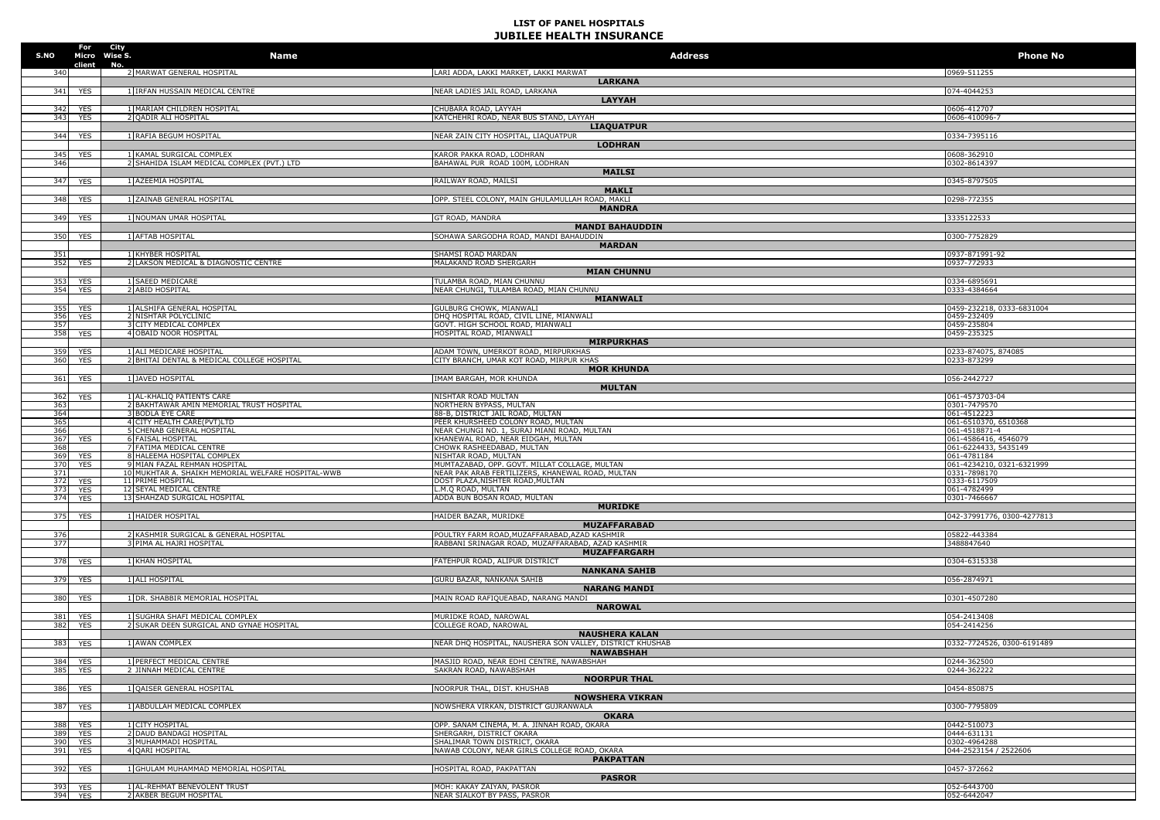| S.NO       | Micro Wise S.            | For City<br>Name                                                           | <b>Address</b>                                                                                   | <b>Phone No</b>                              |
|------------|--------------------------|----------------------------------------------------------------------------|--------------------------------------------------------------------------------------------------|----------------------------------------------|
|            | client                   | No.<br>2 MARWAT GENERAL HOSPITAL                                           | LARI ADDA, LAKKI MARKET, LAKKI MARWAT                                                            | 0969-511255                                  |
| 341        | <b>YES</b>               | 1 IRFAN HUSSAIN MEDICAL CENTRE                                             | <b>LARKANA</b><br>NEAR LADIES JAIL ROAD, LARKANA                                                 | 074-4044253                                  |
|            |                          |                                                                            | <b>LAYYAH</b>                                                                                    |                                              |
| 342        | <b>YES</b>               | 1 MARIAM CHILDREN HOSPITAL                                                 | CHUBARA ROAD, LAYYAH                                                                             | 0606-412707                                  |
| 343        | <b>YES</b>               | 2 QADIR ALI HOSPITAL                                                       | KATCHEHRI ROAD, NEAR BUS STAND, LAYYAH<br><b>LIAQUATPUR</b>                                      | 0606-410096-7                                |
| 344        | YES                      | 1 RAFIA BEGUM HOSPITAL                                                     | NEAR ZAIN CITY HOSPITAL, LIAQUATPUR                                                              | 0334-7395116                                 |
|            |                          |                                                                            | <b>LODHRAN</b>                                                                                   |                                              |
| 345<br>346 | <b>YES</b>               | 1 KAMAL SURGICAL COMPLEX<br>2 SHAHIDA ISLAM MEDICAL COMPLEX (PVT.) LTD     | KAROR PAKKA ROAD, LODHRAN<br>BAHAWAL PUR ROAD 100M, LODHRAN                                      | 0608-362910<br>0302-8614397                  |
|            |                          |                                                                            | <b>MAILSI</b>                                                                                    |                                              |
| 347        | <b>YES</b>               | 1 AZEEMIA HOSPITAL                                                         | RAILWAY ROAD, MAILSI                                                                             | 0345-8797505                                 |
| 348        |                          | 1 ZAINAB GENERAL HOSPITAL                                                  | <b>MAKLI</b><br>OPP. STEEL COLONY, MAIN GHULAMULLAH ROAD, MAKLI                                  | 0298-772355                                  |
|            | YES                      |                                                                            | <b>MANDRA</b>                                                                                    |                                              |
| 349        | <b>YES</b>               | 1 NOUMAN UMAR HOSPITAL                                                     | GT ROAD, MANDRA                                                                                  | 3335122533                                   |
|            |                          |                                                                            | <b>MANDI BAHAUDDIN</b>                                                                           |                                              |
| 350        | YES                      | 1 AFTAB HOSPITAL                                                           | SOHAWA SARGODHA ROAD, MANDI BAHAUDDIN<br><b>MARDAN</b>                                           | 0300-7752829                                 |
| 351        |                          | 1 KHYBER HOSPITAL                                                          | SHAMSI ROAD MARDAN                                                                               | 0937-871991-92                               |
|            | 352 YES                  | 2 LAKSON MEDICAL & DIAGNOSTIC CENTRE                                       | MALAKAND ROAD SHERGARH                                                                           | 0937-772933                                  |
| 353        | YES                      | 1 SAEED MEDICARE                                                           | <b>MIAN CHUNNU</b><br>TULAMBA ROAD, MIAN CHUNNU                                                  | 0334-6895691                                 |
| 354        | YES                      | 2 ABID HOSPITAL                                                            | NEAR CHUNGI, TULAMBA ROAD, MIAN CHUNNU                                                           | 0333-4384664                                 |
|            |                          |                                                                            | <b>MIANWALI</b>                                                                                  |                                              |
| 355<br>356 | <b>YES</b><br><b>YES</b> | 1 ALSHIFA GENERAL HOSPITAL<br>2 NISHTAR POLYCLINIC                         | GULBURG CHOWK, MIANWALI<br>DHQ HOSPITAL ROAD, CIVIL LINE, MIANWALI                               | 0459-232218, 0333-6831004<br>0459-232409     |
| 357        |                          | <b>3 CITY MEDICAL COMPLEX</b>                                              | GOVT. HIGH SCHOOL ROAD, MIANWALI                                                                 | 0459-235804                                  |
| 358        | <b>YES</b>               | 4 OBAID NOOR HOSPITAL                                                      | HOSPITAL ROAD, MIANWALI                                                                          | 0459-235325                                  |
| 359        | YES                      | 1 ALI MEDICARE HOSPITAL                                                    | <b>MIRPURKHAS</b><br>ADAM TOWN, UMERKOT ROAD, MIRPURKHAS                                         | 0233-874075, 874085                          |
| 360        | YES                      | 2 BHITAI DENTAL & MEDICAL COLLEGE HOSPITAL                                 | CITY BRANCH, UMAR KOT ROAD, MIRPUR KHAS                                                          | 0233-873299                                  |
|            |                          |                                                                            | <b>MOR KHUNDA</b>                                                                                |                                              |
| 361        | <b>YES</b>               | 1 JAVED HOSPITAL                                                           | IMAM BARGAH, MOR KHUNDA<br><b>MULTAN</b>                                                         | 056-2442727                                  |
| 362        | <b>YES</b>               | 1 AL-KHALIQ PATIENTS CARE                                                  | NISHTAR ROAD MULTAN                                                                              | 061-4573703-04                               |
| 363        |                          | 2 BAKHTAWAR AMIN MEMORIAL TRUST HOSPITAL                                   | NORTHERN BYPASS, MULTAN                                                                          | 0301-7479570                                 |
| 364<br>365 |                          | 3 BODLA EYE CARE<br>4 CITY HEALTH CARE(PVT)LTD                             | 88-B, DISTRICT JAIL ROAD, MULTAN<br>PEER KHURSHEED COLONY ROAD, MULTAN                           | 061-4512223<br>061-6510370, 6510368          |
| 366        |                          | 5 CHENAB GENERAL HOSPITAL                                                  | NEAR CHUNGI NO. 1, SURAJ MIANI ROAD, MULTAN                                                      | 061-4518871-4                                |
| 367<br>368 | <b>YES</b>               | <b>6 FAISAL HOSPITAL</b><br>7 FATIMA MEDICAL CENTRE                        | KHANEWAL ROAD, NEAR EIDGAH, MULTAN<br>CHOWK RASHEEDABAD, MULTAN                                  | 061-4586416, 4546079<br>061-6224433, 5435149 |
| 369        | <b>YES</b>               | 8 HALEEMA HOSPITAL COMPLEX                                                 | NISHTAR ROAD, MULTAN                                                                             | 061-4781184                                  |
| 370        | <b>YES</b>               | 9 MIAN FAZAL REHMAN HOSPITAL                                               | MUMTAZABAD, OPP. GOVT. MILLAT COLLAGE, MULTAN                                                    | 061-4234210, 0321-6321999                    |
| 371<br>372 | <b>YES</b>               | 10 MUKHTAR A. SHAIKH MEMORIAL WELFARE HOSPITAL-WWB<br>11 PRIME HOSPITAL    | NEAR PAK ARAB FERTILIZERS, KHANEWAL ROAD, MULTAN<br>DOST PLAZA, NISHTER ROAD, MULTAN             | 0331-7898170<br>0333-6117509                 |
| 373        | <b>YES</b>               | 12 SEYAL MEDICAL CENTRE                                                    | M.Q ROAD, MULTAN                                                                                 | 061-4782499                                  |
| 374        | <b>YES</b>               | 13 SHAHZAD SURGICAL HOSPITAL                                               | ADDA BUN BOSAN ROAD, MULTAN<br><b>MURIDKE</b>                                                    | 0301-7466667                                 |
| 375        | <b>YES</b>               | 1 HAIDER HOSPITAL                                                          | HAIDER BAZAR, MURIDKE                                                                            | 042-37991776, 0300-4277813                   |
|            |                          |                                                                            | <b>MUZAFFARABAD</b>                                                                              |                                              |
| 376<br>377 |                          | 2 KASHMIR SURGICAL & GENERAL HOSPITAL<br>3 PIMA AL HAJRI HOSPITAL          | POULTRY FARM ROAD.MUZAFFARABAD.AZAD KASHMIR<br>RABBANI SRINAGAR ROAD, MUZAFFARABAD, AZAD KASHMIR | 05822-443384<br>3488847640                   |
|            |                          |                                                                            | <b>MUZAFFARGARH</b>                                                                              |                                              |
| 378        | <b>YES</b>               | 1 KHAN HOSPITAL                                                            | FATEHPUR ROAD, ALIPUR DISTRICT                                                                   | 0304-6315338                                 |
| 379        |                          | 1 ALI HOSPITAL                                                             | <b>NANKANA SAHIB</b><br>GURU BAZAR, NANKANA SAHIB                                                | 056-2874971                                  |
|            | YES                      |                                                                            | <b>NARANG MANDI</b>                                                                              |                                              |
| 380        | <b>YES</b>               | 1 DR. SHABBIR MEMORIAL HOSPITAL                                            | MAIN ROAD RAFIQUEABAD, NARANG MANDI                                                              | 0301-4507280                                 |
|            |                          |                                                                            | <b>NAROWAL</b>                                                                                   |                                              |
| 381<br>382 | <b>YES</b><br><b>YES</b> | 1 SUGHRA SHAFI MEDICAL COMPLEX<br>2 SUKAR DEEN SURGICAL AND GYNAE HOSPITAL | MURIDKE ROAD, NAROWAL<br>COLLEGE ROAD, NAROWAL                                                   | 054-2413408<br>054-2414256                   |
|            |                          |                                                                            | <b>NAUSHERA KALAN</b>                                                                            |                                              |
| 383        | <b>YES</b>               | 1 AWAN COMPLEX                                                             | NEAR DHQ HOSPITAL, NAUSHERA SON VALLEY, DISTRICT KHUSHAB                                         | 0332-7724526, 0300-6191489                   |
| 384        | <b>YES</b>               | 1 PERFECT MEDICAL CENTRE                                                   | <b>NAWABSHAH</b><br>MASJID ROAD, NEAR EDHI CENTRE, NAWABSHAH                                     | 0244-362500                                  |
| 385        | <b>YES</b>               | 2 JINNAH MEDICAL CENTRE                                                    | SAKRAN ROAD, NAWABSHAH                                                                           | 0244-362222                                  |
|            |                          |                                                                            | <b>NOORPUR THAL</b>                                                                              |                                              |
| 386        | <b>YES</b>               | 1 QAISER GENERAL HOSPITAL                                                  | NOORPUR THAL, DIST. KHUSHAB<br><b>NOWSHERA VIKRAN</b>                                            | 0454-850875                                  |
| 387        | <b>YES</b>               | 1 ABDULLAH MEDICAL COMPLEX                                                 | NOWSHERA VIRKAN, DISTRICT GUJRANWALA                                                             | 0300-7795809                                 |
|            |                          |                                                                            | <b>OKARA</b>                                                                                     |                                              |
| 388<br>389 | <b>YES</b><br><b>YES</b> | 1 CITY HOSPITAL<br>2 DAUD BANDAGI HOSPITAL                                 | OPP. SANAM CINEMA, M. A. JINNAH ROAD, OKARA<br>SHERGARH, DISTRICT OKARA                          | 0442-510073<br>0444-631131                   |
| 390        | YES                      | 3 MUHAMMADI HOSPITAL                                                       | SHALIMAR TOWN DISTRICT, OKARA                                                                    | 0302-4964288                                 |
| 391        | <b>YES</b>               | 4 QARI HOSPITAL                                                            | NAWAB COLONY, NEAR GIRLS COLLEGE ROAD, OKARA                                                     | 044-2523154 / 2522606                        |
| 392        | <b>YES</b>               | 1 GHULAM MUHAMMAD MEMORIAL HOSPITAL                                        | <b>PAKPATTAN</b><br>HOSPITAL ROAD, PAKPATTAN                                                     | 0457-372662                                  |
|            |                          |                                                                            | <b>PASROR</b>                                                                                    |                                              |
| 393        | YES                      | 1 AL-REHMAT BENEVOLENT TRUST                                               | MOH: KAKAY ZAIYAN, PASROR                                                                        | 052-6443700                                  |
| 394        | <b>YES</b>               | 2 AKBER BEGUM HOSPITAL                                                     | NEAR SIALKOT BY PASS, PASROR                                                                     | 052-6442047                                  |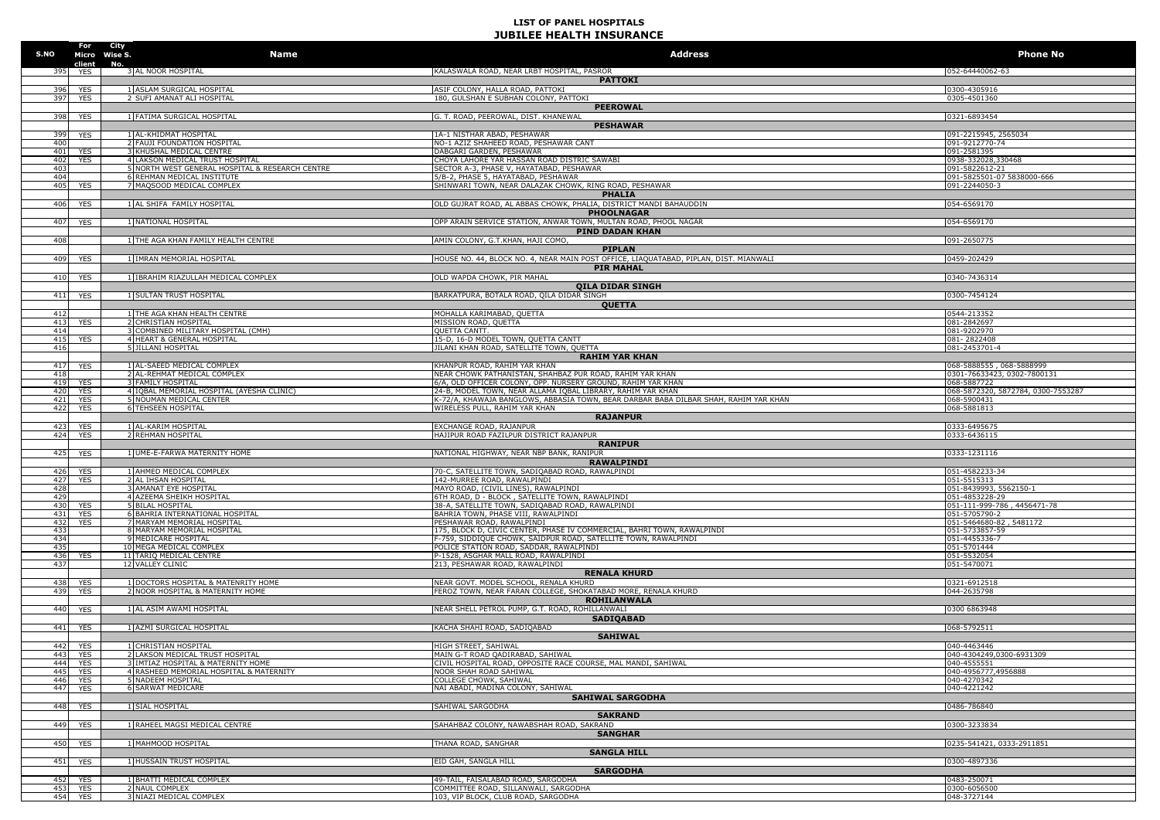| S.NO                   |                      | For City<br>Micro Wise S.<br>Name                                             | <b>Address</b>                                                                                                        | <b>Phone No</b>                                         |
|------------------------|----------------------|-------------------------------------------------------------------------------|-----------------------------------------------------------------------------------------------------------------------|---------------------------------------------------------|
| 395                    | client<br><b>YES</b> | No.<br>3 AL NOOR HOSPITAL                                                     | KALASWALA ROAD, NEAR LRBT HOSPITAL, PASROR                                                                            | 052-64440062-63                                         |
|                        |                      |                                                                               | <b>PATTOKI</b>                                                                                                        |                                                         |
| 396                    | <b>YES</b>           | 1 ASLAM SURGICAL HOSPITAL                                                     | ASIF COLONY, HALLA ROAD, PATTOKI                                                                                      | 0300-4305916                                            |
| 397                    | <b>YES</b>           | 2 SUFI AMANAT ALI HOSPITAL                                                    | 180, GULSHAN E SUBHAN COLONY, PATTOKI<br><b>PEEROWAL</b>                                                              | 0305-4501360                                            |
| 398                    | <b>YES</b>           | 1 FATIMA SURGICAL HOSPITAL                                                    | G. T. ROAD, PEEROWAL, DIST. KHANEWAL                                                                                  | 0321-6893454                                            |
|                        |                      |                                                                               | <b>PESHAWAR</b>                                                                                                       |                                                         |
| 399<br>40(             | YES                  | 1 AL-KHIDMAT HOSPITAL<br>2 FAUJI FOUNDATION HOSPITAL                          | 1A-1 NISTHAR ABAD, PESHAWAR<br>NO-1 AZIZ SHAHEED ROAD, PESHAWAR CANT                                                  | 091-2215945, 2565034<br>091-9212770-74                  |
| 401                    | <b>YES</b>           | 3 KHUSHAL MEDICAL CENTRE                                                      | DABGARI GARDEN, PESHAWAR                                                                                              | 091-2581395                                             |
| 402                    | <b>YES</b>           | 4 LAKSON MEDICAL TRUST HOSPITAL                                               | CHOYA LAHORE YAR HASSAN ROAD DISTRIC SAWABI                                                                           | 0938-332028,330468                                      |
| $40^{\circ}$<br>404    |                      | 5 NORTH WEST GENERAL HOSPITAL & RESEARCH CENTRE<br>6 REHMAN MEDICAL INSTITUTE | SECTOR A-3, PHASE V, HAYATABAD, PESHAWAR<br>5/B-2, PHASE 5, HAYATABAD, PESHAWAR                                       | 091-5822612-21<br>091-5825501-07 5838000-666            |
| 405                    | <b>YES</b>           | 7 MAQSOOD MEDICAL COMPLEX                                                     | SHINWARI TOWN, NEAR DALAZAK CHOWK, RING ROAD, PESHAWAR                                                                | 091-2244050-3                                           |
|                        |                      |                                                                               | <b>PHALIA</b>                                                                                                         |                                                         |
| 406                    | <b>YES</b>           | 1 AL SHIFA FAMILY HOSPITAL                                                    | OLD GUJRAT ROAD, AL ABBAS CHOWK, PHALIA, DISTRICT MANDI BAHAUDDIN                                                     | 054-6569170                                             |
| 407                    |                      |                                                                               | <b>PHOOLNAGAR</b><br>OPP ARAIN SERVICE STATION, ANWAR TOWN, MULTAN ROAD, PHOOL NAGAR                                  |                                                         |
|                        | <b>YES</b>           | 1 NATIONAL HOSPITAL                                                           | PIND DADAN KHAN                                                                                                       | 054-6569170                                             |
| 408                    |                      | 1 THE AGA KHAN FAMILY HEALTH CENTRE                                           | AMIN COLONY, G.T.KHAN, HAJI COMO,                                                                                     | 091-2650775                                             |
|                        |                      |                                                                               | <b>PIPLAN</b>                                                                                                         |                                                         |
| 409                    | YES                  | 1 IMRAN MEMORIAL HOSPITAL                                                     | HOUSE NO. 44, BLOCK NO. 4, NEAR MAIN POST OFFICE, LIAQUATABAD, PIPLAN, DIST. MIANWALI                                 | 0459-202429                                             |
| 410                    | <b>YES</b>           | 1 IBRAHIM RIAZULLAH MEDICAL COMPLEX                                           | <b>PIR MAHAL</b><br>OLD WAPDA CHOWK, PIR MAHAL                                                                        | 0340-7436314                                            |
|                        |                      |                                                                               | <b>QILA DIDAR SINGH</b>                                                                                               |                                                         |
| 411                    | <b>YES</b>           | 1 SULTAN TRUST HOSPITAL                                                       | BARKATPURA, BOTALA ROAD, QILA DIDAR SINGH                                                                             | 0300-7454124                                            |
|                        |                      |                                                                               | <b>QUETTA</b>                                                                                                         |                                                         |
| 412                    |                      | 1 THE AGA KHAN HEALTH CENTRE                                                  | MOHALLA KARIMABAD, QUETTA                                                                                             | 0544-213352                                             |
| 413<br>414             | YES                  | 2 CHRISTIAN HOSPITAL<br>3 COMBINED MILITARY HOSPITAL (CMH)                    | MISSION ROAD, QUETTA<br><b>OUETTA CANTT.</b>                                                                          | 081-2842697<br>081-9202970                              |
| 415                    | YES                  | 4 HEART & GENERAL HOSPITAL                                                    | 15-D, 16-D MODEL TOWN, QUETTA CANTT                                                                                   | 081-2822408                                             |
| 416                    |                      | 5 JILLANI HOSPITAL                                                            | JILANI KHAN ROAD, SATELLITE TOWN, QUETTA                                                                              | 081-2453701-4                                           |
|                        |                      |                                                                               | <b>RAHIM YAR KHAN</b><br>KHANPUR ROAD, RAHIM YAR KHAN                                                                 |                                                         |
| 417<br>418             | <b>YES</b>           | 1 AL-SAEED MEDICAL COMPLEX<br>2 AL-REHMAT MEDICAL COMPLEX                     | NEAR CHOWK PATHANISTAN, SHAHBAZ PUR ROAD, RAHIM YAR KHAN                                                              | 068-5888555, 068-5888999<br>0301-76633423, 0302-7800131 |
| 419                    | <b>YES</b>           | <b>3 FAMILY HOSPITAL</b>                                                      | 6/A, OLD OFFICER COLONY, OPP. NURSERY GROUND, RAHIM YAR KHAN                                                          | 068-5887722                                             |
| 420                    | YES                  | 4 IOBAL MEMORIAL HOSPITAL (AYESHA CLINIC)                                     | 24-B, MODEL TOWN, NEAR ALLAMA IQBAL LIBRARY, RAHIM YAR KHAN                                                           | 068-5872320, 5872784, 0300-7553287                      |
| 421<br>42              | YES<br><b>YES</b>    | 5 NOUMAN MEDICAL CENTER<br><b>6 TEHSEEN HOSPITAL</b>                          | K-72/A, KHAWAJA BANGLOWS, ABBASIA TOWN, BEAR DARBAR BABA DILBAR SHAH, RAHIM YAR KHAN<br>WIRELESS PULL, RAHIM YAR KHAN | 068-5900431<br>068-5881813                              |
|                        |                      |                                                                               | <b>RAJANPUR</b>                                                                                                       |                                                         |
| 423                    | <b>YES</b>           | 1 AL-KARIM HOSPITAL                                                           | EXCHANGE ROAD, RAJANPUR                                                                                               | 0333-6495675                                            |
| 424                    | <b>YES</b>           | 2 REHMAN HOSPITAL                                                             | HAJIPUR ROAD FAZILPUR DISTRICT RAJANPUR                                                                               | 0333-6436115                                            |
| 425                    | <b>YES</b>           | 1 UME-E-FARWA MATERNITY HOME                                                  | <b>RANIPUR</b><br>NATIONAL HIGHWAY, NEAR NBP BANK, RANIPUR                                                            | 0333-1231116                                            |
|                        |                      |                                                                               | <b>RAWALPINDI</b>                                                                                                     |                                                         |
| 426                    | YES                  | 1 AHMED MEDICAL COMPLEX                                                       | 70-C, SATELLITE TOWN, SADIQABAD ROAD, RAWALPINDI                                                                      | 051-4582233-34                                          |
| 427                    | YES                  | 2 AL IHSAN HOSPITAL                                                           | 142-MURREE ROAD, RAWALPINDI                                                                                           | 051-5515313                                             |
| 428<br>42 <sup>9</sup> |                      | <b>3 AMANAT EYE HOSPITAL</b><br>4 AZEEMA SHEIKH HOSPITAL                      | MAYO ROAD, (CIVIL LINES), RAWALPINDI<br>6TH ROAD, D - BLOCK, SATELLITE TOWN, RAWALPINDI                               | 051-8439993, 5562150-1<br>051-4853228-29                |
| 430                    | <b>YES</b>           | <b>5 BILAL HOSPITAL</b>                                                       | 38-A, SATELLITE TOWN, SADIQABAD ROAD, RAWALPINDI                                                                      | 051-111-999-786, 4456471-78                             |
| 431                    | YES                  | 6 BAHRIA INTERNATIONAL HOSPITAL                                               | BAHRIA TOWN, PHASE VIII, RAWALPINDI                                                                                   | 051-5705790-2                                           |
| 432                    | <b>YES</b>           | 7 MARYAM MEMORIAL HOSPITAL<br>8 MARYAM MEMORIAL HOSPITAL                      | PESHAWAR ROAD, RAWALPINDI<br>175, BLOCK D, CIVIC CENTER, PHASE IV COMMERCIAL, BAHRI TOWN, RAWALPINDI                  | 051-5464680-82, 5481172<br>051-5733857-59               |
| -433<br>434            |                      | 9 MEDICARE HOSPITAL                                                           | F-759, SIDDIQUE CHOWK, SAIDPUR ROAD, SATELLITE TOWN, RAWALPINDI                                                       | 051-4455336-7                                           |
| 435                    |                      | 10 MEGA MEDICAL COMPLEX                                                       | POLICE STATION ROAD, SADDAR, RAWALPINDI                                                                               | 051-5701444                                             |
| 436                    | YES                  | 11 TARIO MEDICAL CENTRE                                                       | P-1528, ASGHAR MALL ROAD, RAWALPINDI                                                                                  | 051-5532054                                             |
| 437                    |                      | 12 VALLEY CLINIC                                                              | 213, PESHAWAR ROAD, RAWALPINDI<br><b>RENALA KHURD</b>                                                                 | 051-5470071                                             |
| 438                    | <b>YES</b>           | 1 DOCTORS HOSPITAL & MATENRITY HOME                                           | NEAR GOVT. MODEL SCHOOL, RENALA KHURD                                                                                 | 0321-6912518                                            |
| 439                    | <b>YES</b>           | 2 NOOR HOSPITAL & MATERNITY HOME                                              | FEROZ TOWN, NEAR FARAN COLLEGE, SHOKATABAD MORE, RENALA KHURD                                                         | 044-2635798                                             |
|                        |                      |                                                                               | <b>ROHILANWALA</b>                                                                                                    |                                                         |
| 440                    | <b>YES</b>           | 1 AL ASIM AWAMI HOSPITAL                                                      | NEAR SHELL PETROL PUMP, G.T. ROAD, ROHILLANWALI<br><b>SADIOABAD</b>                                                   | 0300 6863948                                            |
| 441                    | <b>YES</b>           | 1 AZMI SURGICAL HOSPITAL                                                      | KACHA SHAHI ROAD, SADIQABAD                                                                                           | 068-5792511                                             |
|                        |                      |                                                                               | <b>SAHIWAL</b>                                                                                                        |                                                         |
| 442                    | YES                  | 1 CHRISTIAN HOSPITAL                                                          | HIGH STREET, SAHIWAL                                                                                                  | 040-4463446                                             |
| 443                    | <b>YES</b>           | 2 LAKSON MEDICAL TRUST HOSPITAL                                               | MAIN G-T ROAD QADIRABAD, SAHIWAL                                                                                      | 040-4304249,0300-6931309                                |
| 444<br>445             | YES<br><b>YES</b>    | 3 IMTIAZ HOSPITAL & MATERNITY HOME<br>4 RASHEED MEMORIAL HOSPITAL & MATERNITY | CIVIL HOSPITAL ROAD, OPPOSITE RACE COURSE, MAL MANDI, SAHIWAL<br>NOOR SHAH ROAD SAHIWAL                               | 040-4555551<br>040-4956777,4956888                      |
| 446                    | YES                  | 5 NADEEM HOSPITAL                                                             | COLLEGE CHOWK, SAHIWAL                                                                                                | 040-4270342                                             |
| 447                    | YES                  | <b>6 SARWAT MEDICARE</b>                                                      | NAI ABADI, MADINA COLONY, SAHIWAL                                                                                     | 040-4221242                                             |
| 448                    | <b>YES</b>           | 1 SIAL HOSPITAL                                                               | <b>SAHIWAL SARGODHA</b><br>SAHIWAL SARGODHA                                                                           | 0486-786840                                             |
|                        |                      |                                                                               | <b>SAKRAND</b>                                                                                                        |                                                         |
| 449                    | <b>YES</b>           | 1 RAHEEL MAGSI MEDICAL CENTRE                                                 | SAHAHBAZ COLONY, NAWABSHAH ROAD, SAKRAND                                                                              | 0300-3233834                                            |
|                        |                      |                                                                               | <b>SANGHAR</b>                                                                                                        |                                                         |
| 450                    | <b>YES</b>           | 1 MAHMOOD HOSPITAL                                                            | THANA ROAD, SANGHAR                                                                                                   | 0235-541421, 0333-2911851                               |
|                        |                      |                                                                               | <b>SANGLA HILL</b>                                                                                                    |                                                         |
| 451                    | <b>YES</b>           | 1 HUSSAIN TRUST HOSPITAL                                                      | EID GAH, SANGLA HILL<br><b>SARGODHA</b>                                                                               | 0300-4897336                                            |
| 452                    | YES                  | 1 BHATTI MEDICAL COMPLEX                                                      | 49-TAIL, FAISALABAD ROAD, SARGODHA                                                                                    | 0483-250071                                             |
| 453                    | <b>YES</b>           | 2 NAUL COMPLEX                                                                | COMMITTEE ROAD, SILLANWALI, SARGODHA                                                                                  | 0300-6056500                                            |
| 454                    | <b>YES</b>           | 3 NIAZI MEDICAL COMPLEX                                                       | 103, VIP BLOCK, CLUB ROAD, SARGODHA                                                                                   | 048-3727144                                             |